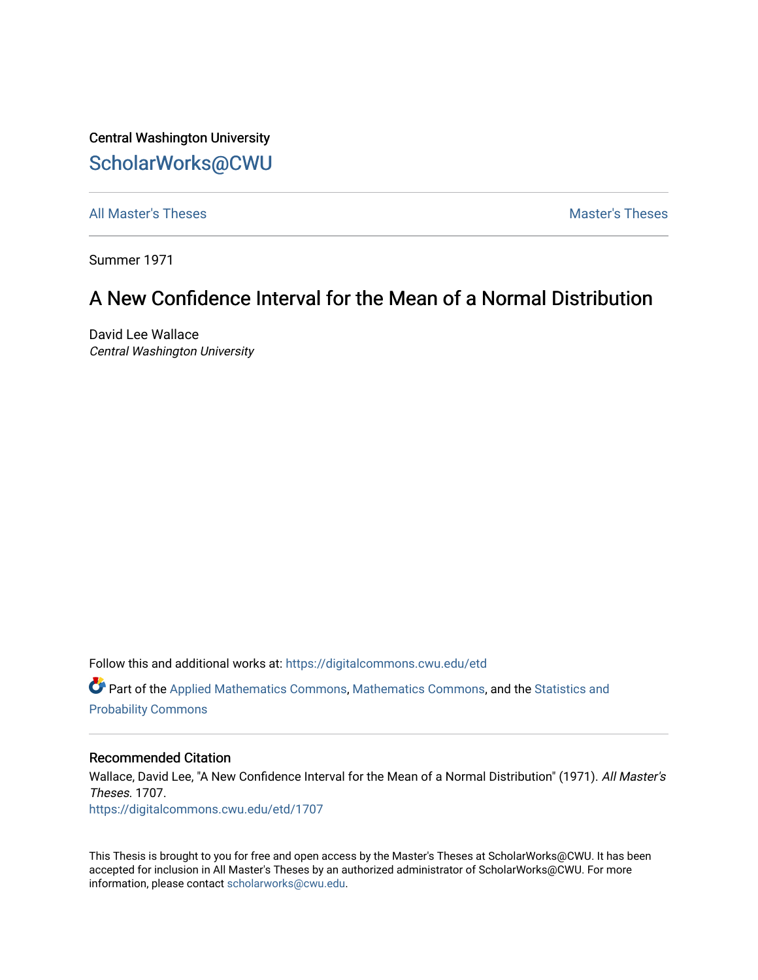Central Washington University [ScholarWorks@CWU](https://digitalcommons.cwu.edu/) 

[All Master's Theses](https://digitalcommons.cwu.edu/etd) and the set of the set of the set of the set of the set of the set of the set of the set of the set of the set of the set of the set of the set of the set of the set of the set of the set of the set of

Summer 1971

# A New Confidence Interval for the Mean of a Normal Distribution

David Lee Wallace Central Washington University

Follow this and additional works at: [https://digitalcommons.cwu.edu/etd](https://digitalcommons.cwu.edu/etd?utm_source=digitalcommons.cwu.edu%2Fetd%2F1707&utm_medium=PDF&utm_campaign=PDFCoverPages) 

Part of the [Applied Mathematics Commons](http://network.bepress.com/hgg/discipline/115?utm_source=digitalcommons.cwu.edu%2Fetd%2F1707&utm_medium=PDF&utm_campaign=PDFCoverPages), [Mathematics Commons,](http://network.bepress.com/hgg/discipline/174?utm_source=digitalcommons.cwu.edu%2Fetd%2F1707&utm_medium=PDF&utm_campaign=PDFCoverPages) and the [Statistics and](http://network.bepress.com/hgg/discipline/208?utm_source=digitalcommons.cwu.edu%2Fetd%2F1707&utm_medium=PDF&utm_campaign=PDFCoverPages)  [Probability Commons](http://network.bepress.com/hgg/discipline/208?utm_source=digitalcommons.cwu.edu%2Fetd%2F1707&utm_medium=PDF&utm_campaign=PDFCoverPages) 

## Recommended Citation

Wallace, David Lee, "A New Confidence Interval for the Mean of a Normal Distribution" (1971). All Master's Theses. 1707. [https://digitalcommons.cwu.edu/etd/1707](https://digitalcommons.cwu.edu/etd/1707?utm_source=digitalcommons.cwu.edu%2Fetd%2F1707&utm_medium=PDF&utm_campaign=PDFCoverPages)

This Thesis is brought to you for free and open access by the Master's Theses at ScholarWorks@CWU. It has been accepted for inclusion in All Master's Theses by an authorized administrator of ScholarWorks@CWU. For more information, please contact [scholarworks@cwu.edu.](mailto:scholarworks@cwu.edu)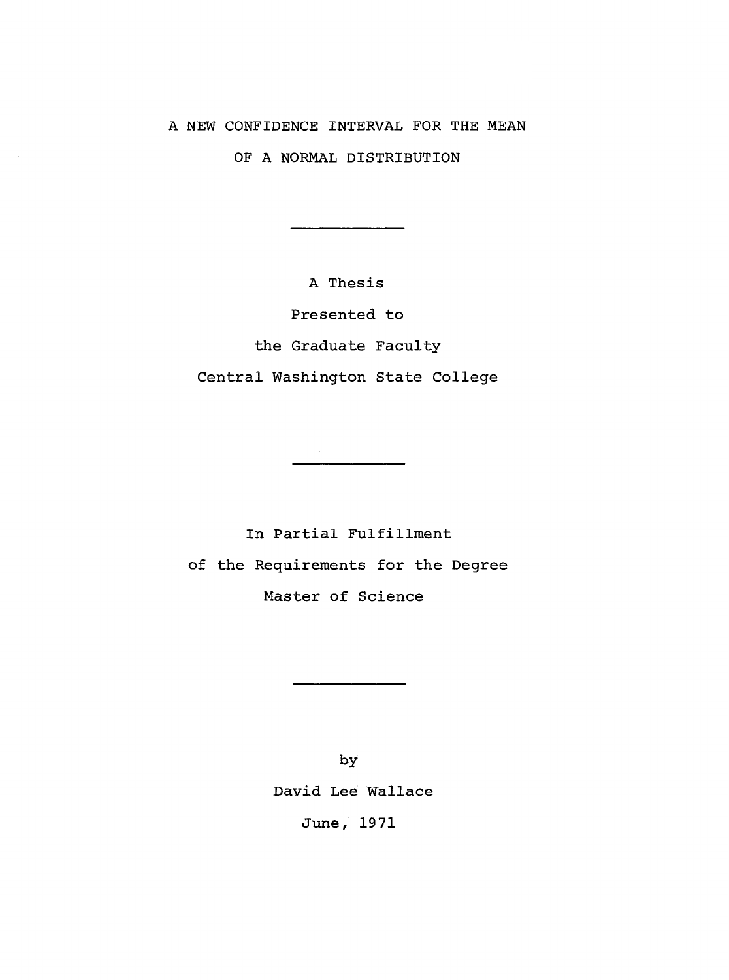## A NEW CONFIDENCE INTERVAL FOR THE MEAN

OF A NORMAL DISTRIBUTION

A Thesis

Presented to

the Graduate Faculty

Central Washington State College

In Partial Fulfillment of the Requirements for the Degree Master of Science

> by David Lee Wallace June, 1971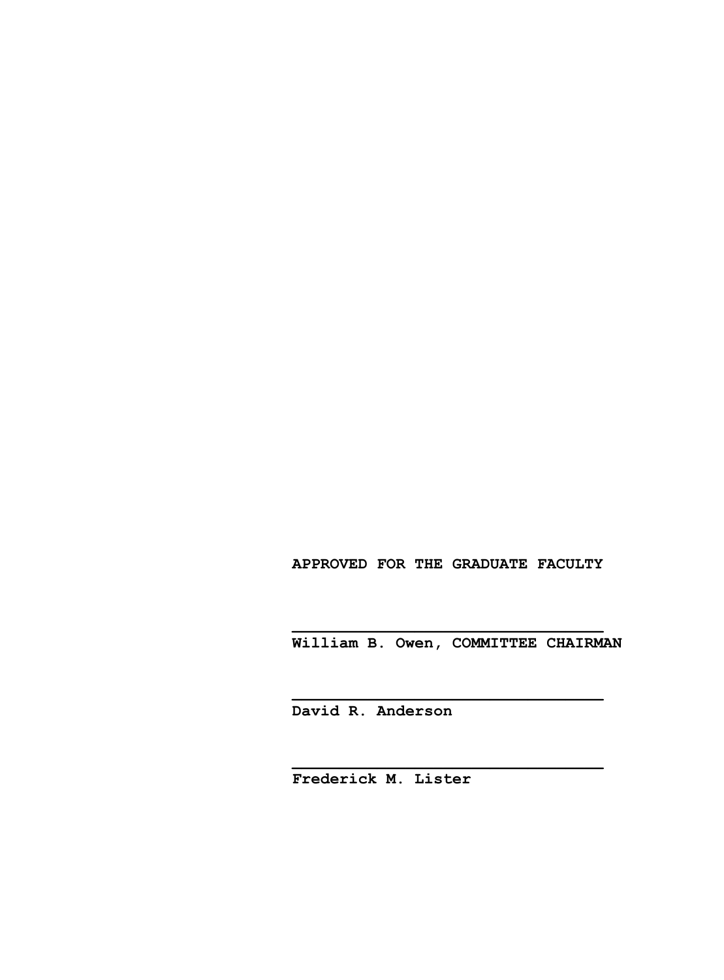## **APPROVED FOR THE GRADUATE FACULTY**

 **William B. Owen, COMMITTEE CHAIRMAN**

 **David R. Anderson**

 **\_\_\_\_\_\_\_\_\_\_\_\_\_\_\_\_\_\_\_\_\_\_\_\_\_\_\_\_\_\_\_\_\_**

 **\_\_\_\_\_\_\_\_\_\_\_\_\_\_\_\_\_\_\_\_\_\_\_\_\_\_\_\_\_\_\_\_\_**

 **\_\_\_\_\_\_\_\_\_\_\_\_\_\_\_\_\_\_\_\_\_\_\_\_\_\_\_\_\_\_\_\_\_**

 **Frederick M. Lister**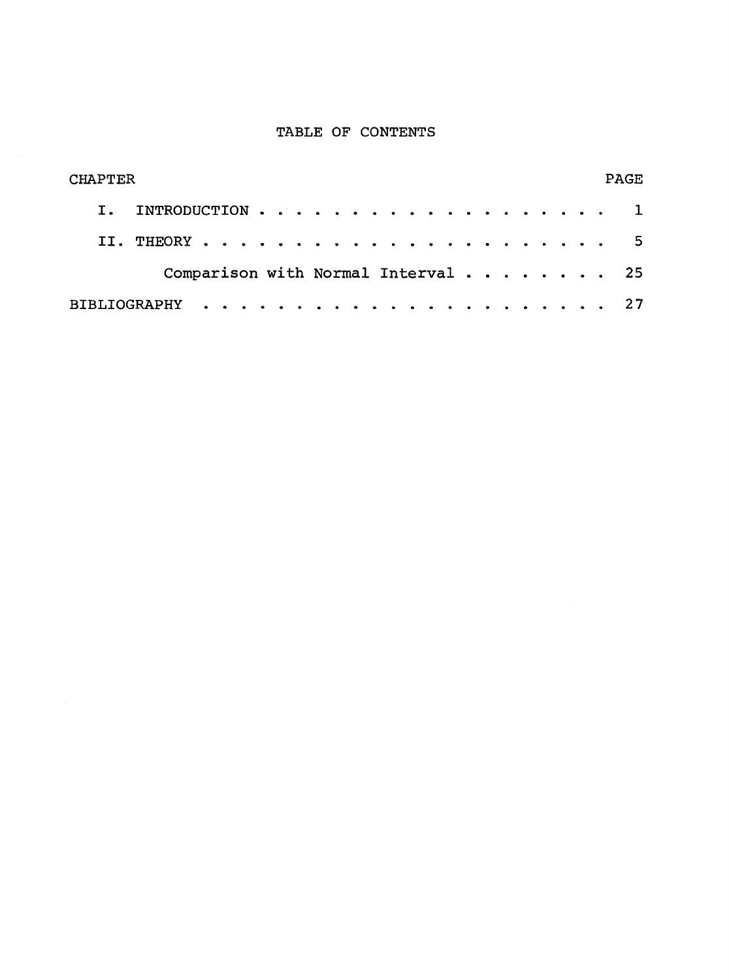## TABLE OF CONTENTS

| <b>CHAPTER</b>                                                | <b>PAGE</b> |
|---------------------------------------------------------------|-------------|
| INTRODUCTION $\cdots \cdots \cdots \cdots \cdots$             |             |
|                                                               |             |
| Comparison with Normal Interval $\cdots$ $\cdots$ $\cdots$ 25 |             |
|                                                               |             |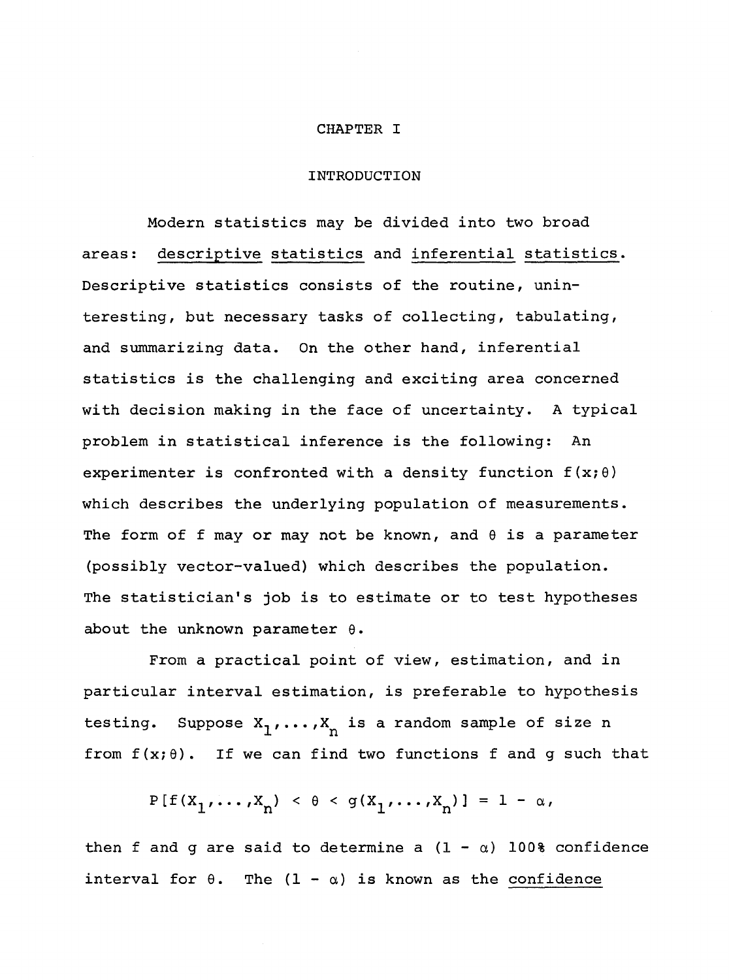#### CHAPTER I

#### INTRODUCTION

Modern statistics may be divided into two broad areas: descriptive statistics and inferential statistics. Descriptive statistics consists of the routine, uninteresting, but necessary tasks of collecting, tabulating, and summarizing data. On the other hand, inferential statistics is the challenging and exciting area concerned with decision making in the face of uncertainty. A typical problem in statistical inference is the following: An experimenter is confronted with a density function  $f(x;\theta)$ which describes the underlying population of measurements. The form of f may or may not be known, and  $\theta$  is a parameter (possibly vector-valued) which describes the population. The statistician's job is to estimate or to test hypotheses about the unknown parameter  $\theta$ .

From a practical point of view, estimation, and in particular interval estimation, is preferable to hypothesis testing. Suppose  $X_1, \ldots, X_n$  is a random sample of size n from  $f(x;\theta)$ . If we can find two functions f and q such that

 $P[f(X_1, \ldots, X_n) < \theta < g(X_1, \ldots, X_n)] = 1 - \alpha,$ 

then f and g are said to determine a  $(1 - \alpha)$  100% confidence interval for  $\theta$ . The  $(1 - \alpha)$  is known as the confidence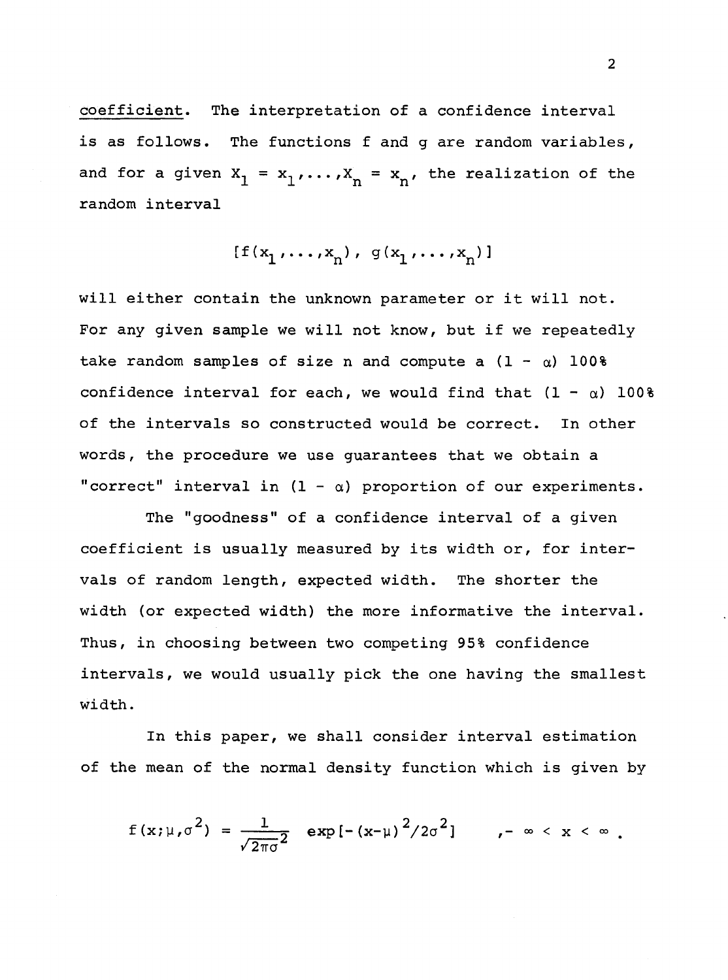coefficient. The interpretation of a confidence interval is as follows. The functions f and g are random variables, and for a given  $X_1 = x_1, ..., X_n = x_n'$ , the realization of the random interval

$$
[f(x_1, \ldots, x_n), g(x_1, \ldots, x_n)]
$$

will either contain the unknown parameter or it will not. For any given sample we will not know, but if we repeatedly take random samples of size n and compute a  $(1 - \alpha)$  100% confidence interval for each, we would find that  $(1 - \alpha)$  100% of the intervals so constructed would be correct. In other words, the procedure we use guarantees that we obtain a "correct" interval in  $(1 - \alpha)$  proportion of our experiments.

The "goodness" of a confidence interval of a given coefficient is usually measured by its width or, for intervals of random length, expected width. The shorter the width (or expected width) the more informative the interval. Thus, in choosing between two competing 95% confidence intervals, we would usually pick the one having the smallest width.

In this paper, we shall consider interval estimation of the mean of the normal density function which is given by

$$
f(x;\mu,\sigma^2) = \frac{1}{\sqrt{2\pi\sigma^2}} \exp[-(x-\mu)^2/2\sigma^2], \quad -\infty < x < \infty
$$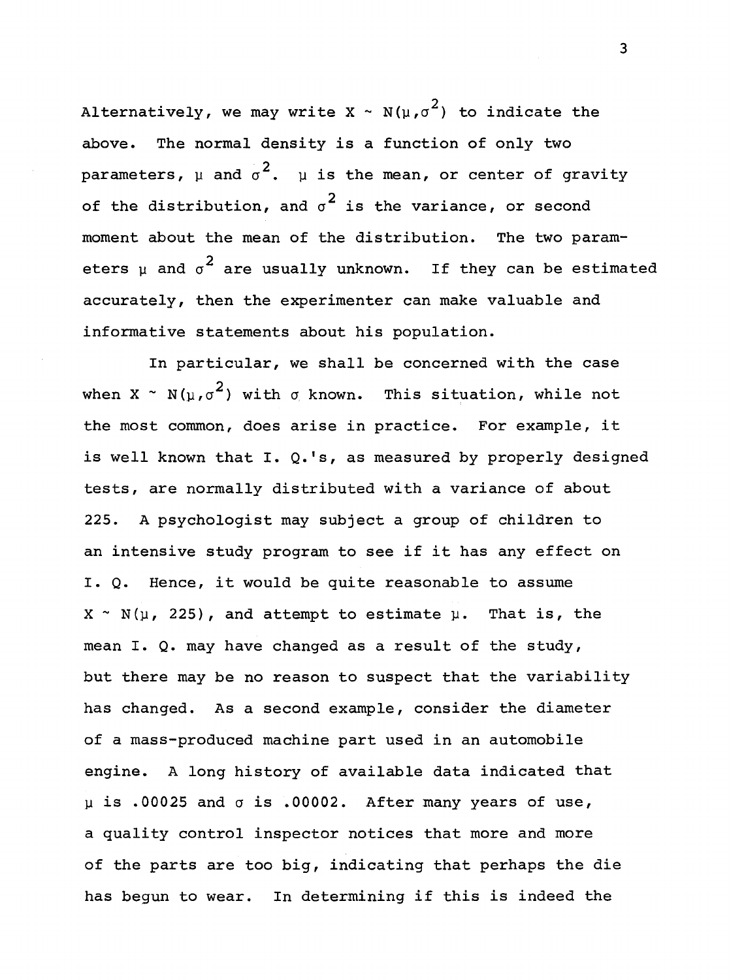Alternatively, we may write X ~ N( $\mu$ , $\sigma^2$ ) to indicate the above. The normal density is a function of only two parameters,  $\upmu$  and  $\sigma^2$ .  $\upmu$  is the mean, or center of gravity of the distribution, and  $\sigma^2$  is the variance, or second moment about the mean of the distribution. The two parameters  $\mu$  and  $\sigma^{\textbf{2}}$  are usually unknown. If they can be estimated accurately, then the experimenter can make valuable and informative statements about his population.

In particular, we shall be concerned with the case when X ~ N( $u, \sigma^2$ ) with  $\sigma$  known. This situation, while not the most common, does arise in practice. For example, it is well known that I. Q.'s, as measured by properly designed tests, are normally distributed with a variance of about 225. A psychologist may subject a group of children to an intensive study program to see if it has any effect on I. Q. Hence, it would be quite reasonable to assume  $X \sim N(\mu, 225)$ , and attempt to estimate  $\mu$ . That is, the mean I. Q. may have changed as a result of the study, but there may be no reason to suspect that the variability has changed. As a second example, consider the diameter of a mass-produced machine part used in an automobile engine. A long history of available data indicated that  $\mu$  is .00025 and  $\sigma$  is .00002. After many years of use, a quality control inspector notices that more and more of the parts are too big, indicating that perhaps the die has begun to wear. In determining if this is indeed the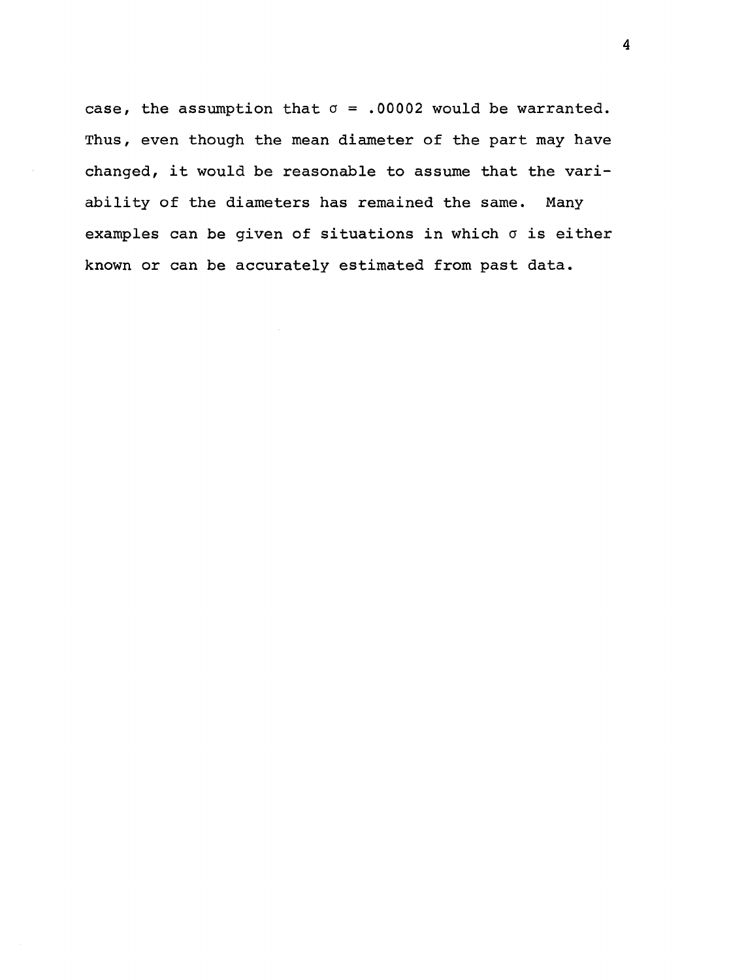case, the assumption that  $\sigma = .00002$  would be warranted. Thus, even though the mean diameter of the part may have changed, it would be reasonable to assume that the variability of the diameters has remained the same. Many examples can be given of situations in which  $\sigma$  is either known or can be accurately estimated from past data.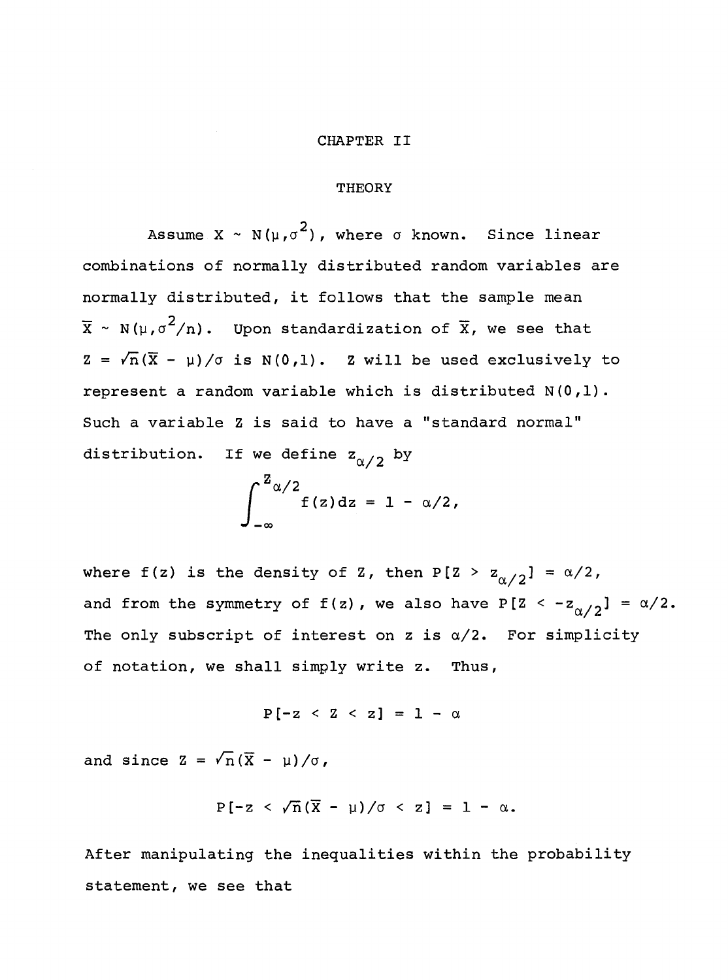#### **CHAPTER** II

#### **THEORY**

Assume X ~ N( $\mu$ , $\sigma^2$ ), where  $\sigma$  known. Since linear combinations of normally distributed random variables are normally distributed, it follows that the sample mean  $\bar{x}$  ~ N( $\mu$ , $\sigma^2/n$ ). Upon standardization of  $\bar{x}$ , we see that  $Z = \sqrt{n}(\overline{X} - \mu)/\sigma$  is N(0,1). Z will be used exclusively to represent a random variable which is distributed N(O,l). Such a variable Z is said to have a "standard normal" distribution. If we define  $z_{\alpha/2}$  by

$$
\int_{-\infty}^{Z_{\alpha/2}} f(z) dz = 1 - \alpha/2,
$$

where f(z) is the density of Z, then P[Z >  $z_{\alpha/2}$ ] =  $\alpha/2$ , and from the symmetry of  $f(z)$ , we also have  $P[Z \leq -z_{\alpha/2}] = \alpha/2$ . The only subscript of interest on z is  $\alpha/2$ . For simplicity of notation, we shall simply write z. Thus,

$$
P[-z \prec z \prec z] = 1 - \alpha
$$

and since  $Z = \sqrt{n}(\overline{X} - \mu)/\sigma$ ,

$$
P[-z \langle \sqrt{n}(\overline{X} - \mu)/\sigma \langle z \rangle] = 1 - \alpha.
$$

After manipulating the inequalities within the probability statement, we see that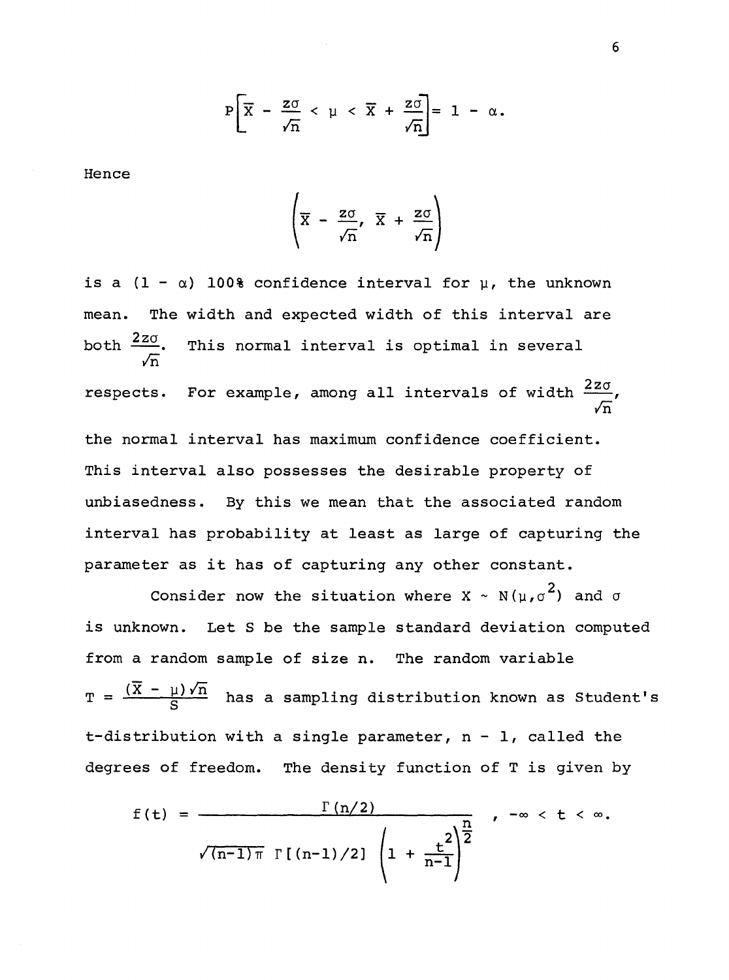$$
P\left[\overline{X} - \frac{z\sigma}{\sqrt{n}} < \mu < \overline{X} + \frac{z\sigma}{\sqrt{n}}\right] = 1 - \alpha.
$$

Hence

$$
\left(\overline{x} - \frac{z\sigma}{\sqrt{n}}, \ \overline{x} + \frac{z\sigma}{\sqrt{n}}\right)
$$

is a  $(1 - \alpha)$  100% confidence interval for  $\mu$ , the unknown mean. The width and expected width of this interval are both  $\frac{2z\sigma}{\sqrt{2z}}$  $\sqrt{n}$ This normal interval is optimal in several respects. For example, among all intervals of width  $\frac{2z\sigma}{\epsilon}$ ,  $\sqrt{n}$ the normal interval has maximum confidence coefficient. This interval also possesses the desirable property of unbiasedness. By this we mean that the associated random interval has probability at least as large of capturing the parameter as it has of capturing any other constant.

Consider now the situation where  $X \sim N(\mu, \sigma^2)$  and  $\sigma$ is unknown. Let S be the sample standard deviation computed from a random sample of size n. The random variable  $T = \frac{(\overline{X} - \mu)\sqrt{n}}{S}$  has a sampling distribution known as Student's t-distribution with a single parameter,  $n - 1$ , called the degrees of freedom. The density function of Tis given by

$$
f(t) = \frac{\Gamma(n/2)}{\sqrt{(n-1)\pi} \Gamma[(n-1)/2]} \left(1 + \frac{t^2}{n-1}\right)^{\frac{n}{2}}, -\infty < t < \infty.
$$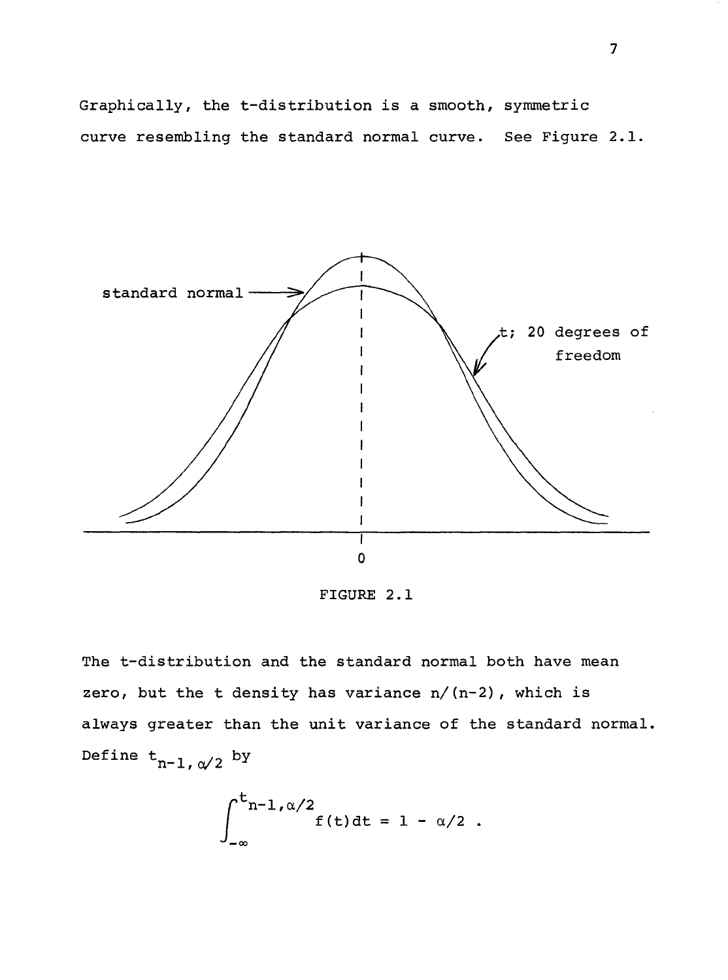Graphically, the t-distribution is a smooth, symmetric curve resembling the standard normal curve. See Figure 2.1.



FIGURE 2.1

The t-distribution and the standard normal both have mean zero, but the t density has variance  $n/(n-2)$ , which is always greater than the unit variance of the standard normal. Define  $t_{n-1, \alpha/2}$  by

$$
\int_{-\infty}^{t_{n-1,\alpha/2}} f(t) dt = 1 - \alpha/2.
$$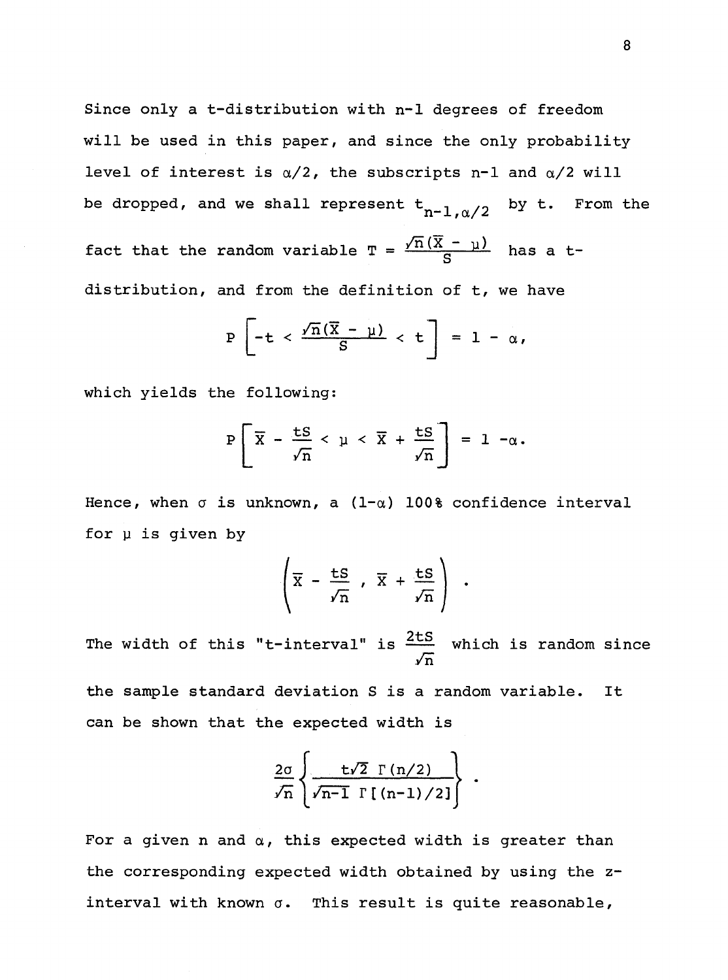Since only a t-distribution with n-1 degrees of freedom will be used in this paper, and since the only probability level of interest is *a/2,* the subscripts n-1 and *a/2* will be dropped, and we shall represent  $t_{n-1,\alpha/2}$  by  $t$ . From the fact that the random variable  $T = \frac{\sqrt{n}(\overline{X} - \mu)}{S}$  has a tdistribution, and from the definition of t, we have

$$
P\left[-t \prec \frac{\sqrt{n}(\overline{X} - \mu)}{S} < t\right] = 1 - \alpha,
$$

which yields the following:

$$
P\left[\overline{X} - \frac{LS}{\sqrt{n}} < \mu < \overline{X} + \frac{LS}{\sqrt{n}}\right] = 1 - \alpha.
$$

Hence, when  $\sigma$  is unknown, a (1- $\alpha$ ) 100% confidence interval for  $\mu$  is given by

$$
\left(\overline{x} - \frac{ts}{\sqrt{n}}, \overline{x} + \frac{ts}{\sqrt{n}}\right).
$$

The width of this "t-interval" is  $\frac{2tS}{I}$  which is random since *In* 

the sample standard deviation Sis a random variable. It can be shown that the expected width is

$$
\frac{2\sigma}{\sqrt{n}}\left\{\frac{t\sqrt{2}\Gamma(n/2)}{\sqrt{n-1}\Gamma(n-1)/2}\right\}.
$$

For a given n and *a,* this expected width is greater than the corresponding expected width obtained by using the zinterval with known  $\sigma$ . This result is quite reasonable,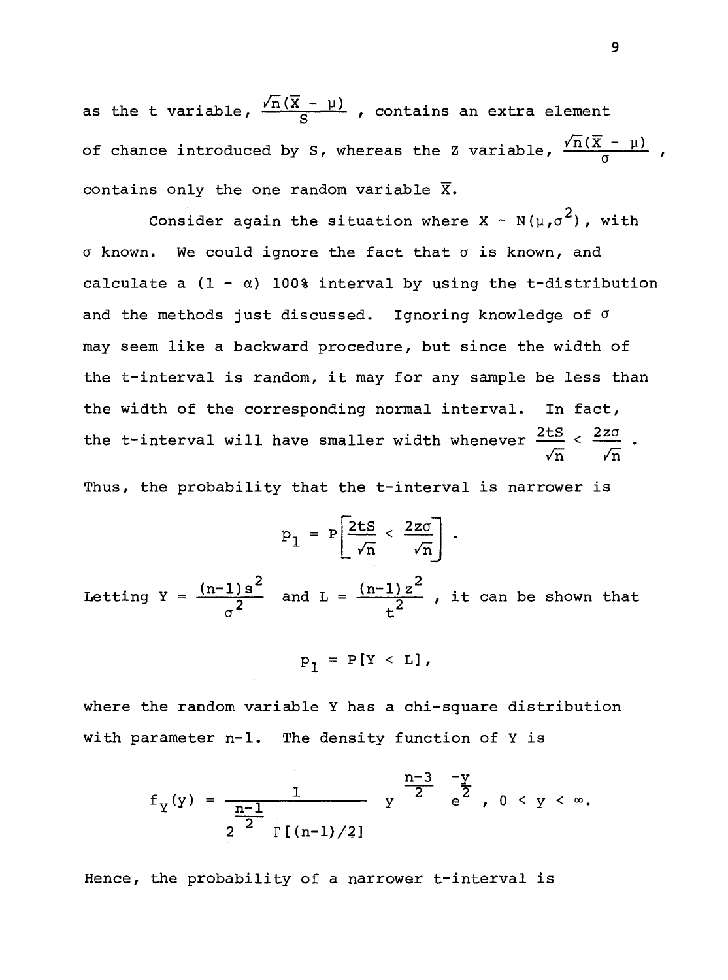as the t variable,  $\frac{\sqrt{n}(\overline{X} - \mu)}{S}$ , contains an extra element of chance introduced by S, whereas the Z variable,  $\frac{\sqrt{n}(\overline{X} - \mu)}{\sigma}$ contains only the one random variable  $\overline{x}$ .

Consider again the situation where  $X \sim N(\mu, \sigma^2)$ , with  $\sigma$  known. We could ignore the fact that  $\sigma$  is known, and calculate a  $(1 - \alpha)$  100% interval by using the t-distribution and the methods just discussed. Ignoring knowledge of  $\sigma$ may seem like a backward procedure, but since the width of the t-interval is random, it may for any sample be less than the width of the corresponding normal interval. In fact, the t-interval will have smaller width whenever  $\frac{2tS}{\epsilon} < \frac{2z\sigma}{\epsilon}$  $\sqrt{n}$   $\sqrt{n}$ 

Thus, the probability that the t-interval is narrower is

$$
P_1 = P\left[\frac{2ts}{\sqrt{n}} < \frac{2z\sigma}{\sqrt{n}}\right].
$$

Letting  $Y = \frac{(n-1)s^2}{2}$  $\sigma^2$ and  $L = \frac{(n-1)z^2}{2}$ , it can be shown that  $t^2$ 

$$
p_1 = P[Y < L],
$$

where the random variable Y has a chi-square distribution with parameter n-1. The density function of Y is

$$
f_Y(y) = \frac{1}{\frac{n-1}{2} \prod_{\Gamma \in (n-1)/2}} y^{\frac{n-3}{2} - \frac{y}{2}}, 0 < y < \infty.
$$

Hence, the probability of a narrower t-interval is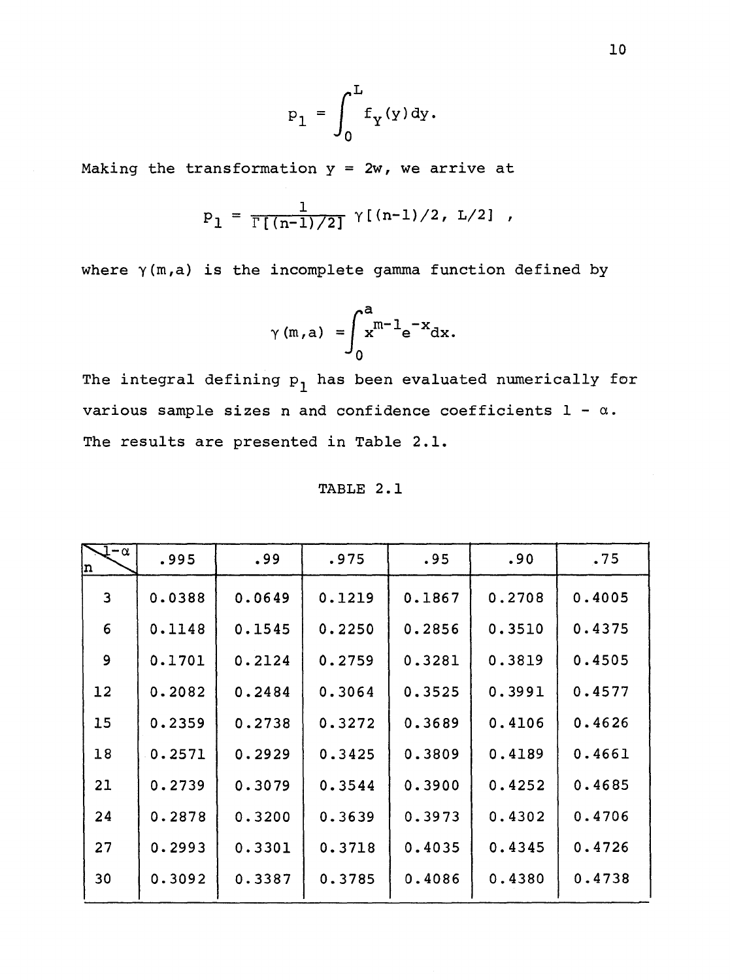$$
p_1 = \int_0^L f_Y(y) dy.
$$

Making the transformation  $y = 2w$ , we arrive at

$$
P_1 = \frac{1}{\Gamma[(n-1)/2]} \gamma[(n-1)/2, L/2],
$$

where  $\gamma(m,a)$  is the incomplete gamma function defined by

$$
\gamma(m,a) = \int_0^a x^{m-1} e^{-x} dx.
$$

The integral defining  $p_1$  has been evaluated numerically for various sample sizes n and confidence coefficients  $1 - \alpha$ . The results are presented in Table 2.1.

TABLE 2.1

| 1-α<br>In.     | .995   | .99    | .975   | .95    | .90    | .75    |
|----------------|--------|--------|--------|--------|--------|--------|
| $\overline{3}$ | 0.0388 | 0.0649 | 0.1219 | 0.1867 | 0.2708 | 0.4005 |
| 6              | 0.1148 | 0.1545 | 0.2250 | 0.2856 | 0.3510 | 0.4375 |
| 9              | 0.1701 | 0.2124 | 0.2759 | 0.3281 | 0.3819 | 0.4505 |
| 12             | 0.2082 | 0.2484 | 0.3064 | 0.3525 | 0.3991 | 0.4577 |
| 15             | 0.2359 | 0.2738 | 0.3272 | 0.3689 | 0.4106 | 0.4626 |
| 18             | 0.2571 | 0.2929 | 0.3425 | 0.3809 | 0.4189 | 0.4661 |
| 21             | 0.2739 | 0.3079 | 0.3544 | 0.3900 | 0.4252 | 0.4685 |
| 24             | 0.2878 | 0.3200 | 0.3639 | 0.3973 | 0.4302 | 0.4706 |
| 27             | 0.2993 | 0.3301 | 0.3718 | 0.4035 | 0.4345 | 0.4726 |
| 30             | 0.3092 | 0.3387 | 0.3785 | 0.4086 | 0.4380 | 0.4738 |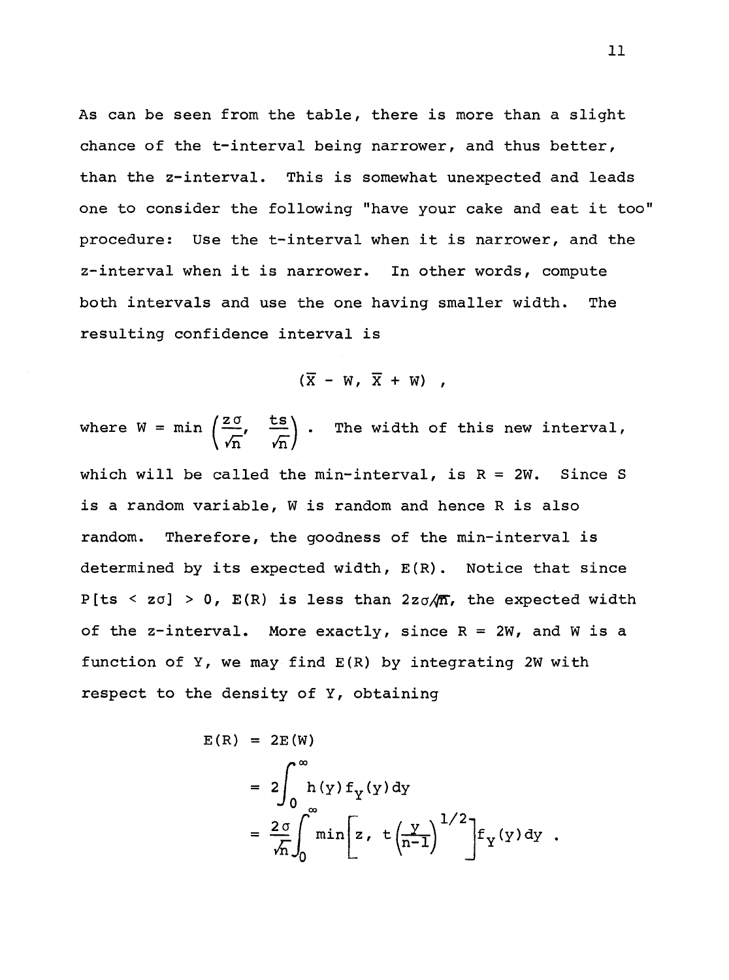As can be seen from the table, there is more than a slight chance of the t-interval being narrower, and thus better, than the z-interval. This is somewhat unexpected and leads one to consider the following "have your cake and eat it too" procedure: Use the t-interval when it is narrower, and the z-interval when it is narrower. In other words, compute both intervals and use the one having smaller width. The resulting confidence interval is

 $(\overline{X} - W, \overline{X} + W)$ ,

where  $W = min\left(\frac{z\sigma}{r}, \frac{ts}{r}\right)$ .  $\sqrt{n}$  , The width of this new interval, which will be called the min-interval, is  $R = 2W$ . Since S is a random variable, Wis random and hence R is also random. Therefore, the goodness of the min-interval is determined by its expected width,  $E(R)$ . Notice that since P[ts < zo] > 0, E(R) is less than  $2z\sigma/\sqrt{n}$ , the expected width of the z-interval. More exactly, since  $R = 2W$ , and W is a function of  $Y$ , we may find  $E(R)$  by integrating 2W with respect to the density of Y, obtaining

$$
E(R) = 2E(W)
$$
  
=  $2 \int_0^{\infty} h(y) f_y(y) dy$   
=  $\frac{2 \sigma}{\sqrt{n}} \int_0^{\infty} \min [z, t(\frac{y}{n-1})^{1/2}] f_y(y) dy$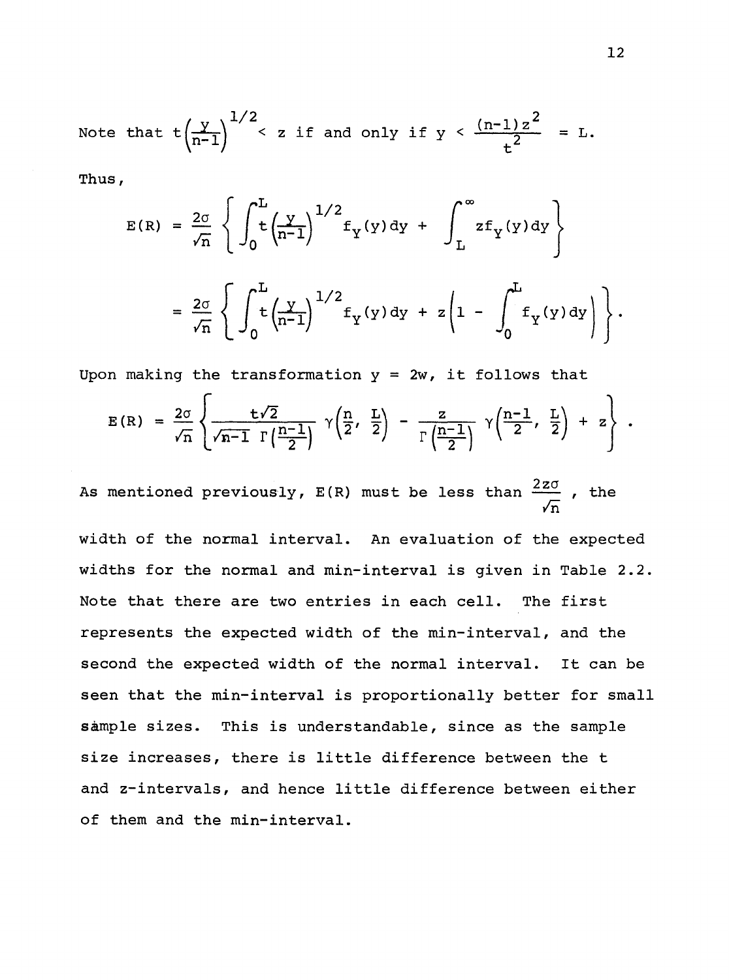Note that 
$$
t\left(\frac{y}{n-1}\right)^{1/2}
$$
 < z if and only if  $y < \frac{(n-1)z^2}{t^2} = L$ .

Thus,

$$
E(R) = \frac{2\sigma}{\sqrt{n}} \left\{ \int_0^L \left( \frac{y}{n-1} \right)^{1/2} f_Y(y) dy + \int_L^{\infty} z f_Y(y) dy \right\}
$$
  
=  $\frac{2\sigma}{\sqrt{n}} \left\{ \int_0^L \left( \frac{y}{n-1} \right)^{1/2} f_Y(y) dy + z \left( 1 - \int_0^L f_Y(y) dy \right) \right\}.$ 

Upon making the transformation  $y = 2w$ , it follows that

$$
E(R) = \frac{2\sigma}{\sqrt{n}} \left\{ \frac{t\sqrt{2}}{\sqrt{n-1} \Gamma\left(\frac{n-1}{2}\right)} \gamma\left(\frac{n}{2}, \frac{L}{2}\right) - \frac{z}{\Gamma\left(\frac{n-1}{2}\right)} \gamma\left(\frac{n-1}{2}, \frac{L}{2}\right) + z \right\}.
$$

As mentioned previously, E(R) must be less than  $\frac{2z\sigma}{\pi}$  , the *In* 

width of the normal interval. An evaluation of the expected widths for the normal and min-interval is given in Table 2.2. Note that there are two entries in each cell. The first represents the expected width of the min-interval, and the second the expected width of the normal interval. It can be seen that the min-interval is proportionally better for small sample sizes. This is understandable, since as the sample size increases, there is little difference between the t and z-intervals, and hence little difference between either of them and the min-interval.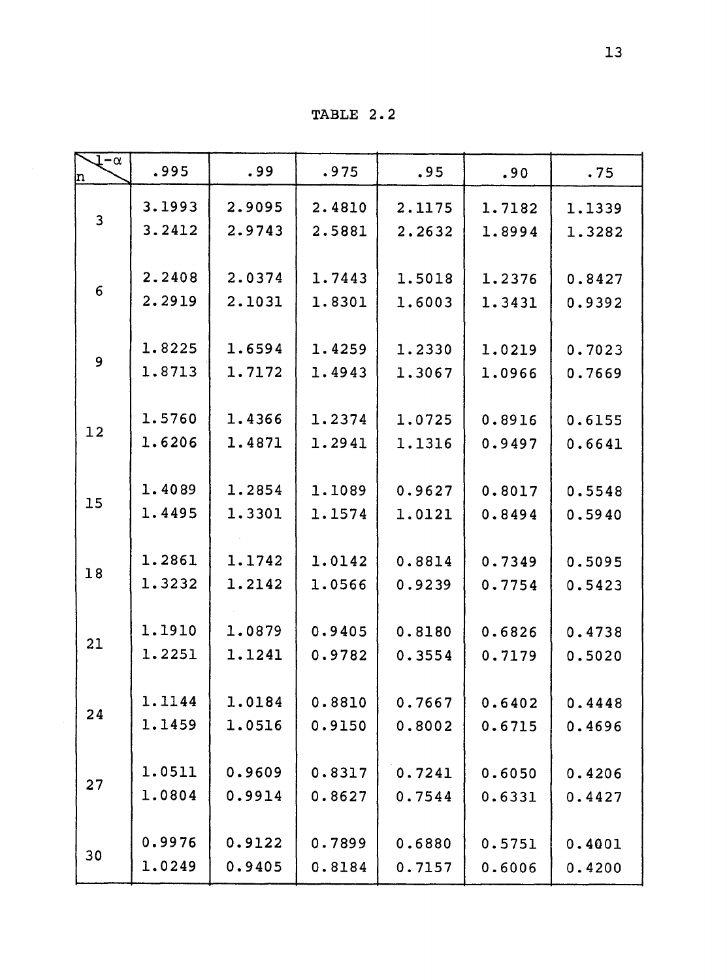TABLE 2. 2

| $1-\alpha$     | .995   | .99    | .975   | .95    | .90    | .75    |
|----------------|--------|--------|--------|--------|--------|--------|
| n              |        |        |        |        |        |        |
| $\overline{3}$ | 3.1993 | 2.9095 | 2.4810 | 2.1175 | 1.7182 | 1.1339 |
|                | 3.2412 | 2.9743 | 2.5881 | 2.2632 | 1.8994 | 1.3282 |
|                |        |        |        |        |        |        |
| 6              | 2.2408 | 2.0374 | 1.7443 | 1.5018 | 1.2376 | 0.8427 |
|                | 2.2919 | 2.1031 | 1.8301 | 1.6003 | 1.3431 | 0.9392 |
|                |        |        |        |        |        |        |
| 9              | 1.8225 | 1.6594 | 1.4259 | 1.2330 | 1.0219 | 0.7023 |
|                | 1.8713 | 1.7172 | 1.4943 | 1.3067 | 1.0966 | 0.7669 |
|                | 1.5760 | 1.4366 | 1.2374 |        |        |        |
| 12             |        |        |        | 1.0725 | 0.8916 | 0.6155 |
|                | 1.6206 | 1.4871 | 1.2941 | 1.1316 | 0.9497 | 0.6641 |
|                | 1.4089 | 1.2854 | 1.1089 | 0.9627 | 0.8017 |        |
| 15             | 1.4495 | 1.3301 |        |        |        | 0.5548 |
|                |        |        | 1.1574 | 1.0121 | 0.8494 | 0.5940 |
|                | 1.2861 | 1.1742 | 1.0142 | 0.8814 | 0.7349 | 0.5095 |
| 18             | 1.3232 | 1.2142 | 1.0566 | 0.9239 | 0.7754 | 0.5423 |
|                |        |        |        |        |        |        |
|                | 1.1910 | 1.0879 | 0.9405 | 0.8180 | 0.6826 | 0.4738 |
| 21             | 1.2251 | 1.1241 | 0.9782 | 0.3554 | 0.7179 | 0.5020 |
|                |        |        |        |        |        |        |
|                | 1.1144 | 1.0184 | 0.8810 | 0.7667 | 0.6402 | 0.4448 |
| 24             | 1.1459 | 1.0516 | 0.9150 | 0.8002 | 0.6715 | 0.4696 |
|                |        |        |        |        |        |        |
| 27             | 1.0511 | 0.9609 | 0.8317 | 0.7241 | 0.6050 | 0.4206 |
|                | 1.0804 | 0.9914 | 0.8627 | 0.7544 | 0.6331 | 0.4427 |
|                |        |        |        |        |        |        |
|                | 0.9976 | 0.9122 | 0.7899 | 0.6880 | 0.5751 | 0.4001 |
| 30             | 1.0249 | 0.9405 | 0.8184 | 0.7157 | 0.6006 | 0.4200 |
|                |        |        |        |        |        |        |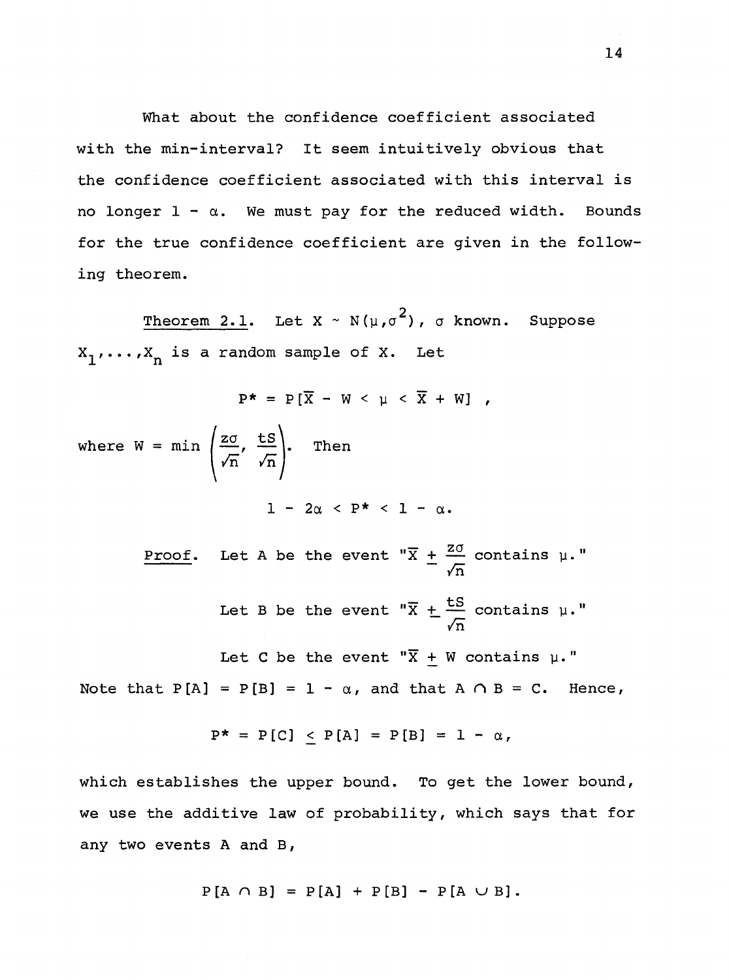What about the confidence coefficient associated with the min-interval? It seem intuitively obvious that the confidence coefficient associated with this interval is no longer  $1 - \alpha$ . We must pay for the reduced width. Bounds for the true confidence coefficient are given in the following theorem.

Theorem 2.1. Let X ~ N( $\mu$ , $\sigma^2$ ),  $\sigma$  known. Suppose  $X_1, \ldots, X_n$  is a random sample of X. Let

$$
P^* = P[\overline{X} - W < \mu < \overline{X} + W],
$$
\nwhere  $W = \min \left( \frac{z\sigma}{\sqrt{n}}, \frac{tS}{\sqrt{n}} \right)$ . Then\n
$$
1 - 2\alpha < P^* < 1 - \alpha.
$$
\nProof. Let A be the event " $\overline{X} \pm \frac{z\sigma}{\sqrt{n}}$  contains  $\mu$ ." Let B be the event " $\overline{X} \pm \frac{tS}{\sqrt{n}}$  contains  $\mu$ ." Let C be the event " $\overline{X} \pm W$  contains  $\mu$ ." Note that  $P[A] = P[B] = 1 - \alpha$ , and that  $A \cap B = C$ . Hence,

$$
P^* = P[C] \le P[A] = P[B] = 1 - \alpha,
$$

which establishes the upper bound. To get the lower bound, we use the additive law of probability, which says that for any two events A and B,

$$
P[A \cap B] = P[A] + P[B] - P[A \cup B].
$$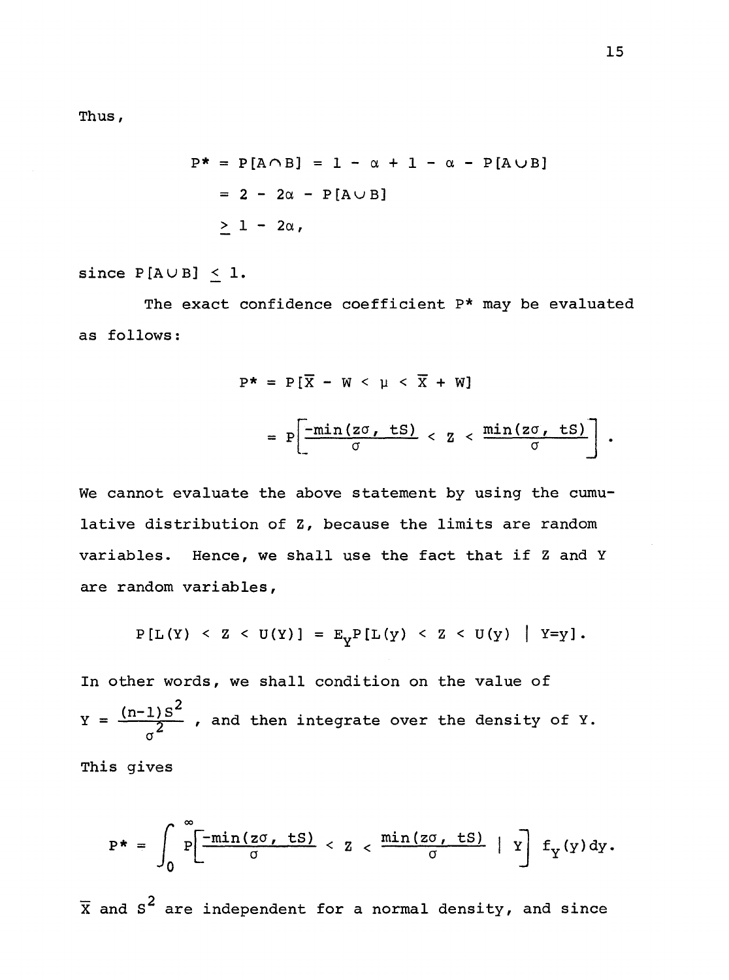Thus,

$$
P^* = P[A \cap B] = 1 - \alpha + 1 - \alpha - P[A \cup B]
$$
  
= 2 - 2\alpha - P[A \cup B]  

$$
\geq 1 - 2\alpha,
$$

## since  $P[A \cup B] < 1$ .

The exact confidence coefficient P\* may be evaluated as follows:

$$
P^* = P[\overline{X} - W < \mu < \overline{X} + W]
$$
\n
$$
= P\left[\frac{-\min(z\sigma, ts)}{\sigma} < Z < \frac{\min(z\sigma, ts)}{\sigma}\right]
$$

We cannot evaluate the above statement by using the cumulative distribution of z, because the limits are random variables. Hence, we shall use the fact that if Z and Y are random variables,

$$
P[L(Y) < Z < U(Y)] = E_{V}P[L(Y) < Z < U(Y) | Y=y].
$$

In other words, we shall condition on the value of  $Y = \frac{(n-1)S^2}{\sigma^2}$  , and then integrate over the density of Y.

This gives

$$
P^* = \int_0^{\infty} P\left[\frac{-\min\{z\sigma, ts\}}{\sigma} < Z < \frac{\min\{z\sigma, ts\}}{\sigma} | Y \right] f_Y(y) dy.
$$

 $\overline{\mathrm{x}}$  and  $\mathrm{s}^2$  are independent for a normal density, and since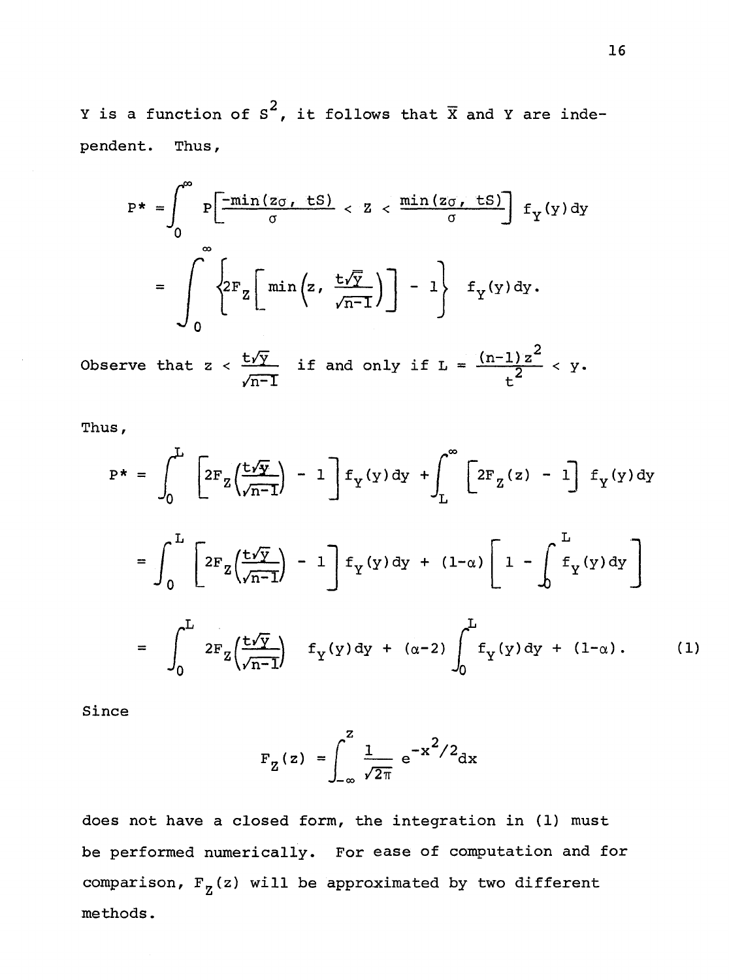Y is a function of S<sup>2</sup>, it follows that  $\overline{X}$  and Y are independent. Thus,

$$
P^* = \int_0^\infty P\left[\frac{-\min(z_0, ts)}{\sigma} < Z < \frac{\min(z_0, ts)}{\sigma}\right] f_Y(y) dy
$$
\n
$$
= \int_0^\infty \left\{ 2F_Z \left[\min\left(z, \frac{t\sqrt{Y}}{\sqrt{n-1}}\right)\right] - 1\right\} f_Y(y) dy.
$$

Observe that z <  $\frac{t\sqrt{y}}{y}$ ln-T if and only if  $L = \frac{(n-1)z^2}{t^2} < y$ .

Thus,

$$
P^* = \int_0^L \left[ 2F_Z \left( \frac{t\sqrt{y}}{\sqrt{n-1}} \right) - 1 \right] f_Y(y) dy + \int_L^{\infty} \left[ 2F_Z(z) - 1 \right] f_Y(y) dy
$$
  

$$
= \int_0^L \left[ 2F_Z \left( \frac{t\sqrt{y}}{\sqrt{n-1}} \right) - 1 \right] f_Y(y) dy + (1-\alpha) \left[ 1 - \int_0^L f_Y(y) dy \right]
$$
  

$$
= \int_0^L 2F_Z \left( \frac{t\sqrt{y}}{\sqrt{n-1}} \right) f_Y(y) dy + (\alpha - 2) \int_0^L f_Y(y) dy + (1-\alpha). \qquad (1)
$$

Since

$$
F_Z(z) = \int_{-\infty}^{z} \frac{1}{\sqrt{2\pi}} e^{-x^2/2} dx
$$

does not have a closed form, the integration in (1) must be performed numerically. For ease of computation and for comparison,  $F_Z(z)$  will be approximated by two different methods.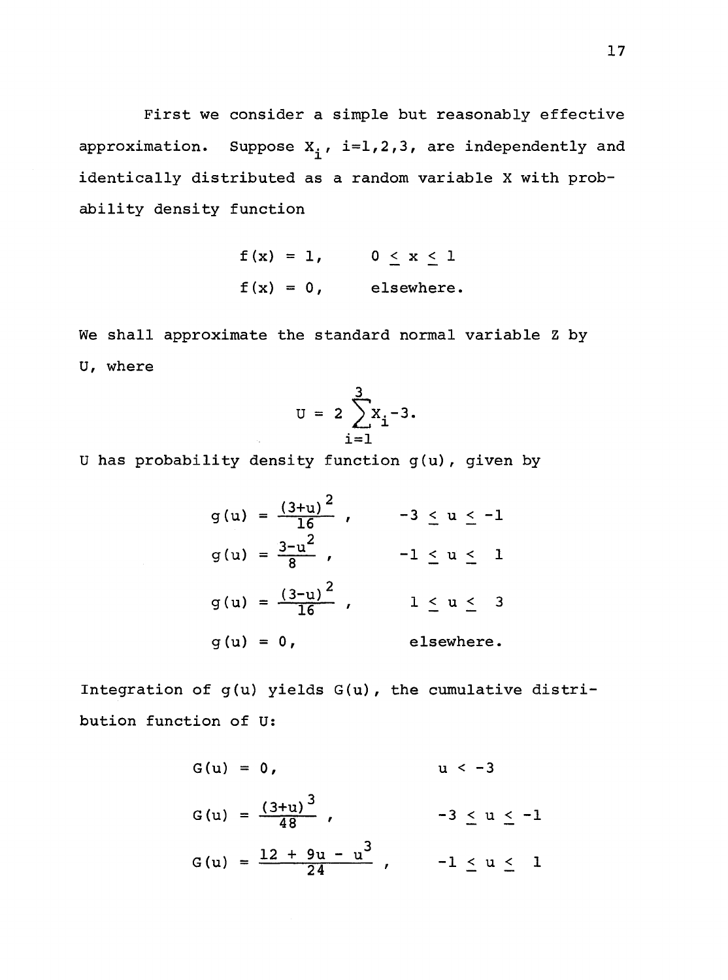First we consider a simple but reasonably effective approximation. Suppose  $x_i^{\phantom{\dag}}$ , i=1,2,3, are independently and identically distributed as a random variable X with probability density function

$$
f(x) = 1, \t 0 \le x \le 1
$$
  

$$
f(x) = 0, \t elsewhere.
$$

We shall approximate the standard normal variable Z by U, where

$$
U = 2 \sum_{i=1}^{3} x_i - 3.
$$

Uhas probability density function g(u), given by

$$
g(u) = \frac{(3+u)^2}{16}, \qquad -3 \le u \le -1
$$
  
\n
$$
g(u) = \frac{3-u^2}{8}, \qquad -1 \le u \le 1
$$
  
\n
$$
g(u) = \frac{(3-u)^2}{16}, \qquad 1 \le u \le 3
$$
  
\n
$$
g(u) = 0, \qquad \text{elsewhere.}
$$

Integration of g(u) yields G(u), the cumulative distribution function of U:

$$
G(u) = 0, \t u < -3
$$
  
\n
$$
G(u) = \frac{(3+u)^{3}}{48}, \t -3 \le u \le -1
$$
  
\n
$$
G(u) = \frac{12 + 9u - u^{3}}{24}, \t -1 \le u \le 1
$$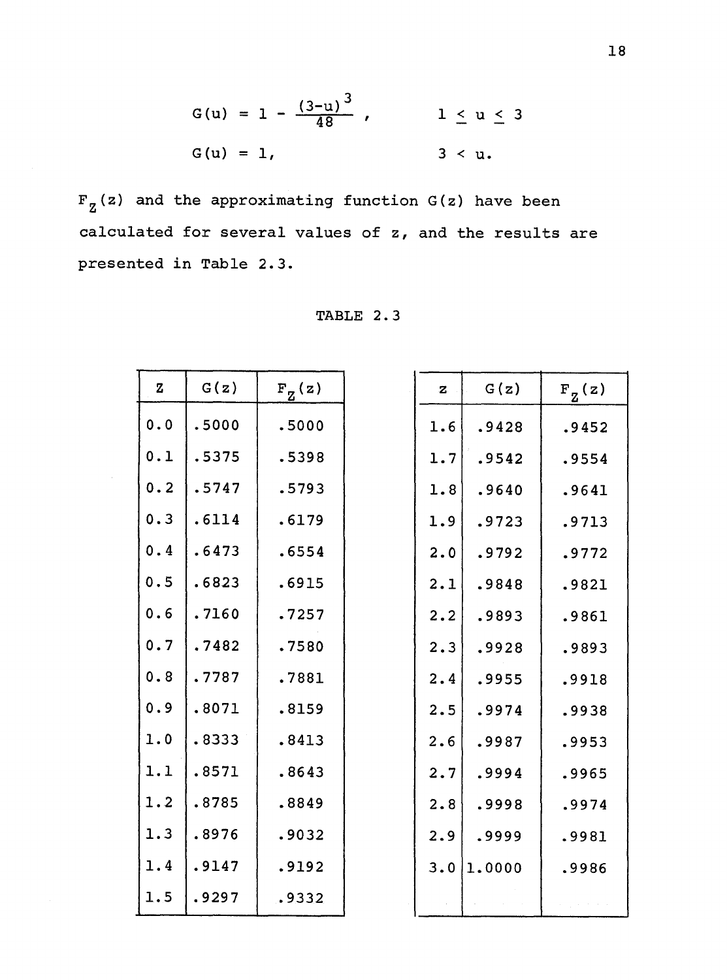$$
G(u) = 1 - \frac{(3-u)^3}{48}
$$
,  $1 \le u \le 3$   
 $G(u) = 1$ ,  $3 < u$ .

 $F_Z(z)$  and the approximating function G(z) have been calculated for several values of z, and the results are presented in Table 2.3.

| $\mathbf z$ | G(z)  | $F_{Z}(z)$ | z   | G(z)   | $F_{Z}(z)$ |
|-------------|-------|------------|-----|--------|------------|
| 0.0         | .5000 | .5000      | 1.6 | .9428  | .9452      |
| 0.1         | .5375 | .5398      | 1.7 | .9542  | .9554      |
| 0.2         | .5747 | .5793      | 1.8 | .9640  | .9641      |
| 0.3         | .6114 | .6179      | 1.9 | .9723  | .9713      |
| 0.4         | .6473 | .6554      | 2.0 | .9792  | .9772      |
| 0.5         | .6823 | .6915      | 2.1 | .9848  | .9821      |
| 0.6         | .7160 | .7257      | 2.2 | .9893  | .9861      |
| 0.7         | .7482 | .7580      | 2.3 | .9928  | .9893      |
| 0.8         | .7787 | .7881      | 2.4 | .9955  | .9918      |
| 0.9         | .8071 | .8159      | 2.5 | .9974  | .9938      |
| $1.0$       | .8333 | .8413      | 2.6 | .9987  | .9953      |
| 1.1         | .8571 | .8643      | 2.7 | .9994  | .9965      |
| 1.2         | .8785 | .8849      | 2.8 | .9998  | .9974      |
| 1.3         | .8976 | .9032      | 2.9 | .9999  | .9981      |
| 1.4         | .9147 | .9192      | 3.0 | 1.0000 | .9986      |
| 1.5         | .9297 | .9332      |     |        |            |

| TABLE |  |  |  |
|-------|--|--|--|
|-------|--|--|--|

| $\mathbf{z}$ | G(z)   | $\mathrm{F}_{\mathrm{Z}}^{\mathrm{}_{}}\mathrm{(z)}$ |
|--------------|--------|------------------------------------------------------|
| 1.6          | .9428  | .9452                                                |
| 1.7          | .9542  | .9554                                                |
| 1.8          | .9640  | .9641                                                |
| 1.9          | .9723  | .9713                                                |
| 2.0          | .9792  | .9772                                                |
| 2.1          | .9848  | .9821                                                |
| 2.2          | .9893  | .9861                                                |
| 2.3          | .9928  | .9893                                                |
| 2.4          | .9955  | .9918                                                |
| 2.5          | .9974  | .9938                                                |
| 2.6          | .9987  | .9953                                                |
| 2.7          | .9994  | .9965                                                |
| 2.8          | .9998  | .9974                                                |
| 2.9          | .9999  | .9981                                                |
| 3.0          | 1.0000 | .9986                                                |
|              |        |                                                      |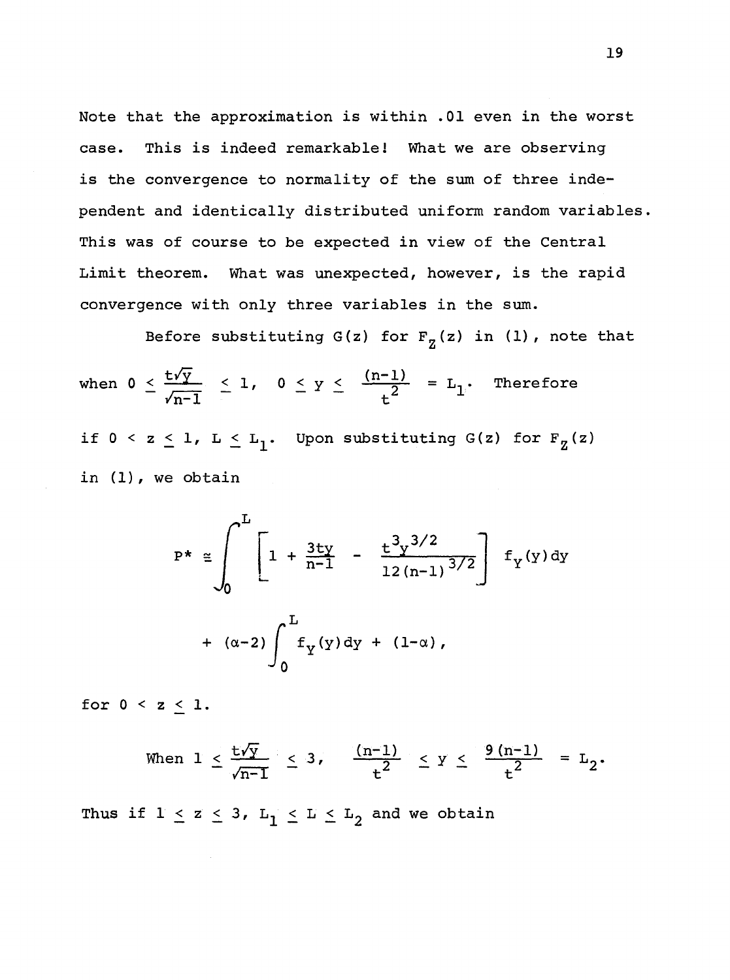Note that the approximation is within .01 even in the worst case. This is indeed remarkable! What we are observing is the convergence to normality of the sum of three independent and identically distributed uniform random variables. This was of course to be expected in view of the Central Limit theorem. What was unexpected, however, is the rapid convergence with only three variables in the sum.

Before substituting G(z) for  $F_{z}(z)$  in (1), note that when  $0 \leq \frac{t \gamma y}{y} \leq 1$ ,  $0 \leq y \leq$  $\sqrt{n-1}$  $(n-1)$  $\frac{-1}{t^2}$  = L<sub>1</sub>. Therefore if  $0 < z \leq 1$ ,  $L \leq L_1$ . Upon substituting  $G(z)$  for  $F_Z(z)$ in (1), we obtain

$$
P^* \approx \int_0^L \left[ 1 + \frac{3 \text{t} \text{y}}{\text{n} - 1} - \frac{\text{t}^3 \text{y}^{3/2}}{12 \text{ (n} - 1)^{3/2}} \right] f_Y(y) \, \text{dy}
$$
  
+  $(\alpha - 2) \int_0^L f_Y(y) \, \text{dy} + (1 - \alpha),$ 

for  $0 < z \leq 1$ .

When 
$$
1 \le \frac{t\sqrt{y}}{\sqrt{n-1}} \le 3
$$
,  $\frac{(n-1)}{t^2} \le y \le \frac{9(n-1)}{t^2} = L_2$ .

Thus if  $1 \le z \le 3$ ,  $L_1 \le L \le L_2$  and we obtain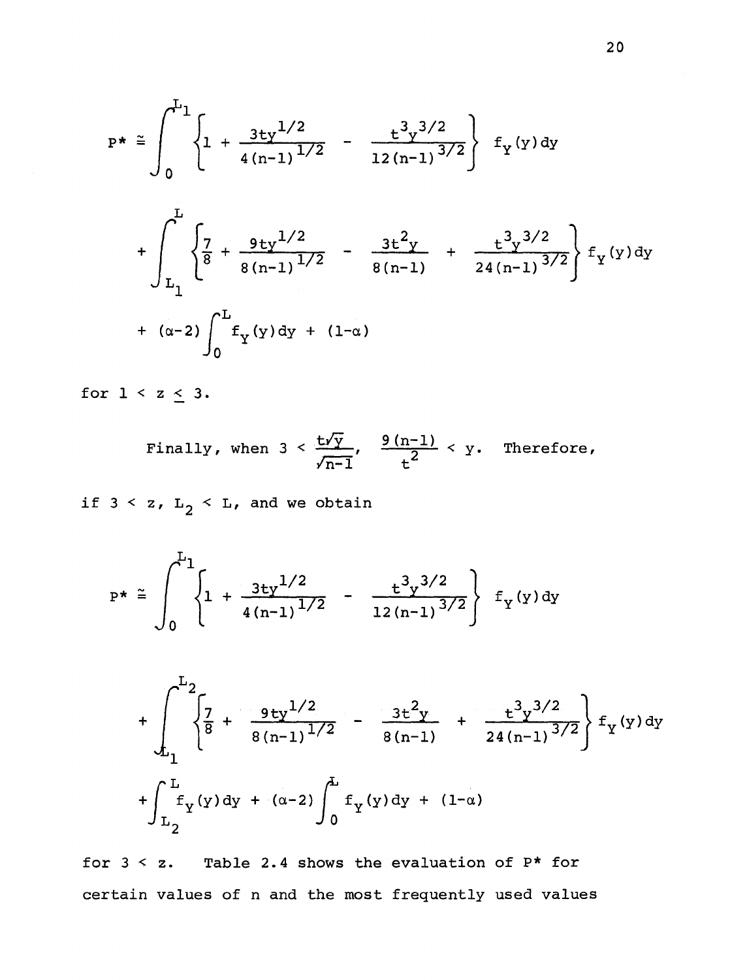$$
P^* \approx \int_0^{L_1} \left\{ 1 + \frac{3 \frac{t y^{1/2}}{4 (n-1)^{1/2}} - \frac{t^3 y^{3/2}}{12 (n-1)^{3/2}} \right\} f_Y(y) dy + \int_{L_1}^{L_1} \left\{ \frac{7}{8} + \frac{9 \frac{t y^{1/2}}{8 (n-1)^{1/2}} - \frac{3 \frac{t^2 y}{8 (n-1)}}{8 (n-1)} + \frac{t^3 y^{3/2}}{24 (n-1)^{3/2}} \right\} f_Y(y) dy + (\alpha - 2) \int_0^L f_Y(y) dy + (1 - \alpha)
$$

for  $1 < z \leq 3$ .

Finally, when  $3 < \frac{t\sqrt{y}}{y}$ ,  $\sqrt{n-1}$  $\frac{9(n-1)}{t^2}$  < y. Therefore,

if  $3 \leq z$ ,  $L_2 \leq L$ , and we obtain

$$
P^* \cong \int_0^{L_1} \left\{ 1 + \frac{3 \tau y^{1/2}}{4(n-1)^{1/2}} - \frac{\tau^3 y^{3/2}}{12(n-1)^{3/2}} \right\} f_Y(y) dy
$$

$$
+\int_{L_{1}}^{L_{2}} \left\{\frac{7}{8} + \frac{9 \text{t} y^{1/2}}{8(n-1)^{1/2}} - \frac{3 \text{t}^{2} y}{8(n-1)} + \frac{\text{t}^{3} y^{3/2}}{24(n-1)^{3/2}}\right\} f_{Y}(y) dy
$$
  
+
$$
\int_{L_{2}}^{L_{1}} f_{Y}(y) dy + (\alpha - 2) \int_{0}^{L_{1}} f_{Y}(y) dy + (1 - \alpha)
$$

for  $3 \leq z$ . Table 2.4 shows the evaluation of  $P^*$  for certain values of n and the most frequently used values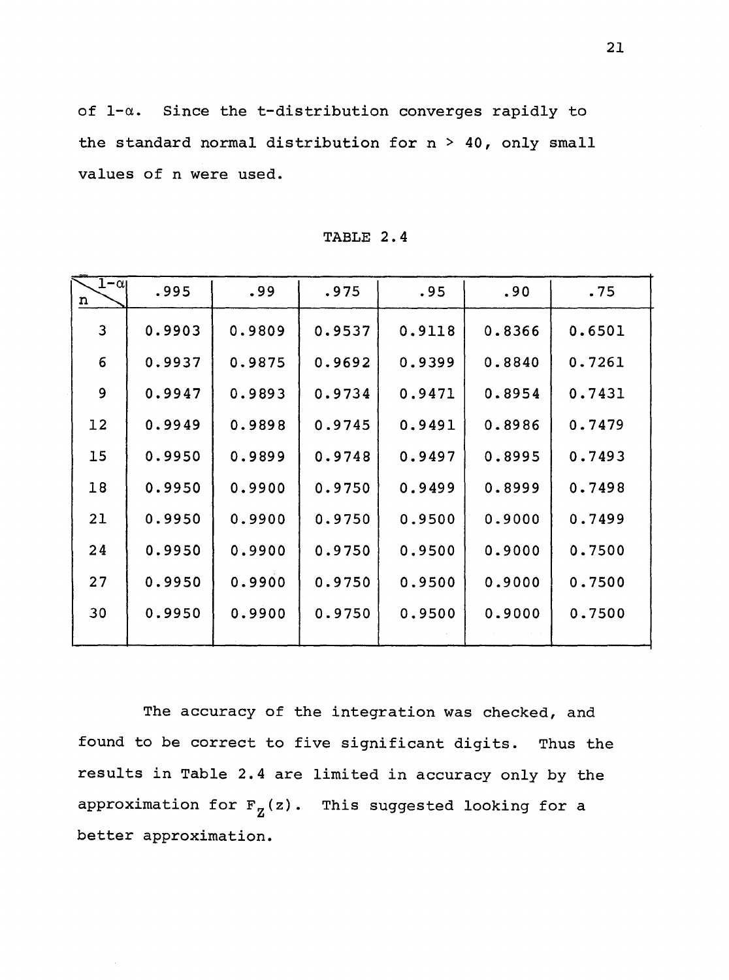of 1-a. Since the t-distribution converges rapidly to the standard normal distribution for  $n > 40$ , only small values of n were used.

| $1-\alpha_1$<br>n | .995   | .99    | .975   | .95    | .90    | .75    |
|-------------------|--------|--------|--------|--------|--------|--------|
| 3                 | 0.9903 | 0.9809 | 0.9537 | 0.9118 | 0.8366 | 0.6501 |
| 6                 | 0.9937 | 0.9875 | 0.9692 | 0.9399 | 0.8840 | 0.7261 |
| 9                 | 0.9947 | 0.9893 | 0.9734 | 0.9471 | 0.8954 | 0.7431 |
| 12                | 0.9949 | 0.9898 | 0.9745 | 0.9491 | 0.8986 | 0.7479 |
| 15                | 0.9950 | 0.9899 | 0.9748 | 0.9497 | 0.8995 | 0.7493 |
| 18                | 0.9950 | 0.9900 | 0.9750 | 0.9499 | 0.8999 | 0.7498 |
| 21                | 0.9950 | 0.9900 | 0.9750 | 0.9500 | 0.9000 | 0.7499 |
| 24                | 0.9950 | 0.9900 | 0.9750 | 0.9500 | 0.9000 | 0.7500 |
| 27                | 0.9950 | 0.9900 | 0.9750 | 0.9500 | 0.9000 | 0.7500 |
| 30                | 0.9950 | 0.9900 | 0.9750 | 0.9500 | 0.9000 | 0.7500 |
|                   |        |        |        |        |        |        |

TABLE 2.4

The accuracy of the integration was checked, and found to be correct to five significant digits. Thus the results in Table 2.4 are limited in accuracy only by the approximation for  $F_Z(z)$ . This suggested looking for a better approximation.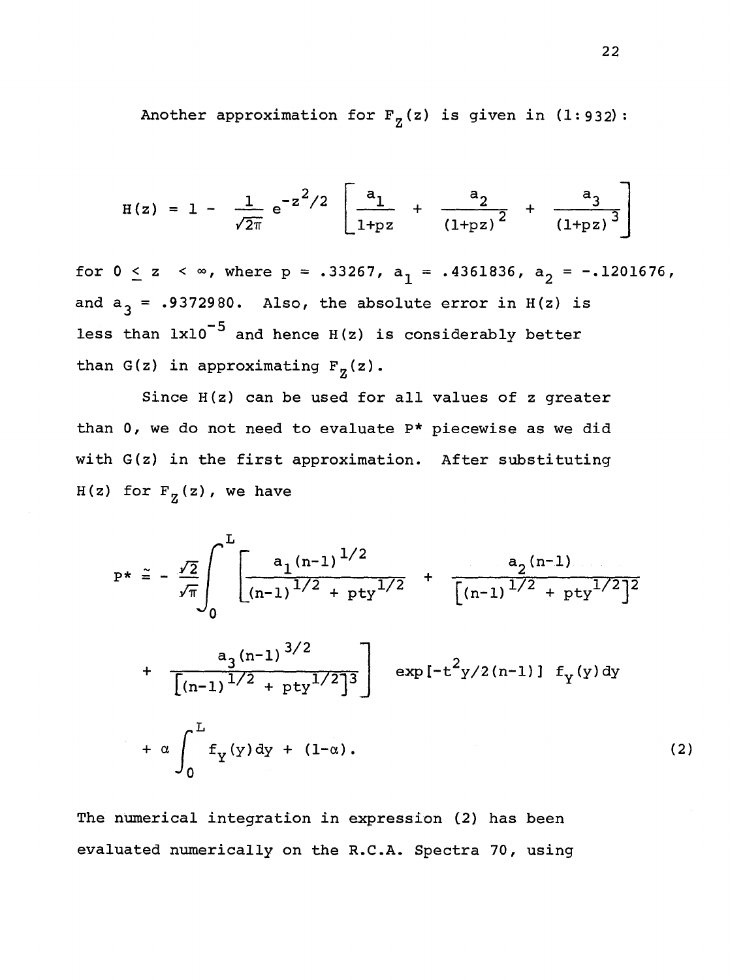Another approximation for  $F_{7}(z)$  is given in (1:932):

$$
H(z) = 1 - \frac{1}{\sqrt{2\pi}} e^{-z^2/2} \left[ \frac{a_1}{1 + pz} + \frac{a_2}{(1 + pz)^2} + \frac{a_3}{(1 + pz)^3} \right]
$$

for  $0 \le z \le \infty$ , where p = .33267,  $a_1 = .4361836$ ,  $a_2 = -.1201676$ , and  $a_3$  = .9372980. Also, the absolute error in H(z) is less than  $1x10^{-5}$  and hence H(z) is considerably better than G(z) in approximating  $F_Z(z)$ .

Since H(z) can be used for all values of z greater than 0, we do not need to evaluate P\* piecewise as we did with G(z) in the first approximation. After substituting  $H(z)$  for  $F_z(z)$ , we have

$$
P^* \approx -\frac{\sqrt{2}}{\sqrt{\pi}} \int_0^L \left[ \frac{a_1 (n-1)^{1/2}}{(n-1)^{1/2} + pty^{1/2}} + \frac{a_2 (n-1)}{\left[(n-1)^{1/2} + pty^{1/2}\right]^2} + \frac{a_3 (n-1)^{3/2}}{\left[(n-1)^{1/2} + pty^{1/2}\right]^3} \right] \exp\left[-t^2 y/2(n-1)\right] f_y(y) dy + \alpha \int_0^L f_y(y) dy + (1-\alpha).
$$
\n(2)

The numerical integration in expression (2} has been evaluated numerically on the R.C.A. Spectra 70, using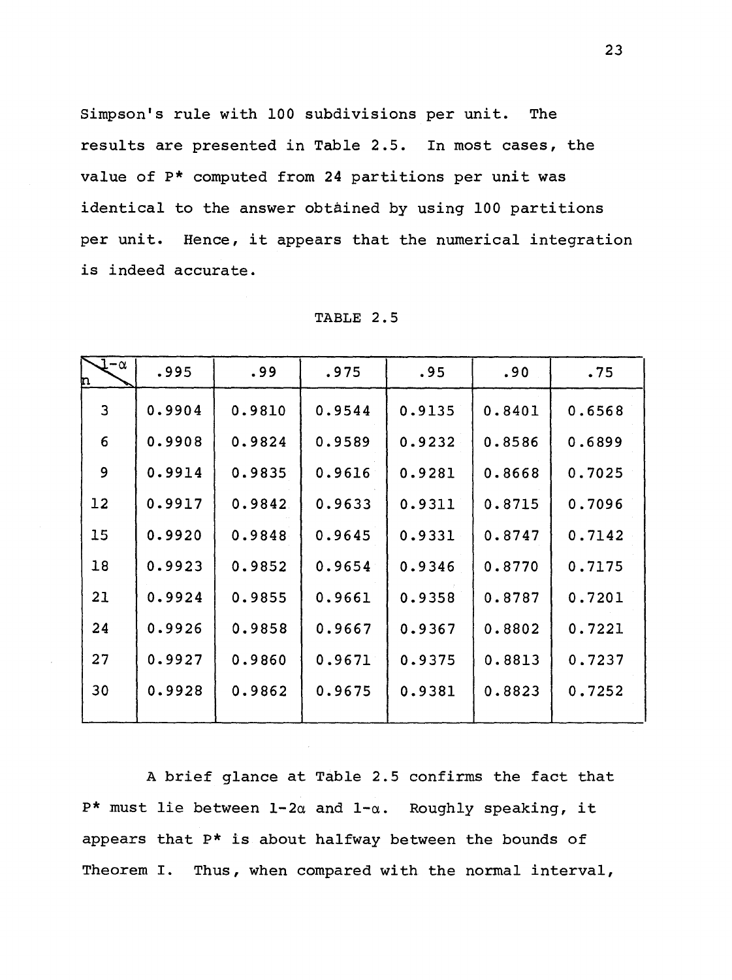Simpson's rule with 100 subdivisions per unit. The results are presented in Table 2.5. In most cases, the value of P\* computed from 24 partitions per unit was identical to the answer obtained by using 100 partitions per unit. Hence, it appears that the numerical integration is indeed accurate.

| $-\alpha$<br>n | .995   | .99    | .975   | .95    | .90    | .75    |
|----------------|--------|--------|--------|--------|--------|--------|
| 3              | 0.9904 | 0.9810 | 0.9544 | 0.9135 | 0.8401 | 0.6568 |
| 6              | 0.9908 | 0.9824 | 0.9589 | 0.9232 | 0.8586 | 0.6899 |
| 9              | 0.9914 | 0.9835 | 0.9616 | 0.9281 | 0.8668 | 0.7025 |
| 12             | 0.9917 | 0.9842 | 0.9633 | 0.9311 | 0.8715 | 0.7096 |
| 15             | 0.9920 | 0.9848 | 0.9645 | 0.9331 | 0.8747 | 0.7142 |
| 18             | 0.9923 | 0.9852 | 0.9654 | 0.9346 | 0.8770 | 0.7175 |
| 21             | 0.9924 | 0.9855 | 0.9661 | 0.9358 | 0.8787 | 0.7201 |
| 24             | 0.9926 | 0.9858 | 0.9667 | 0.9367 | 0.8802 | 0.7221 |
| 27             | 0.9927 | 0.9860 | 0.9671 | 0.9375 | 0.8813 | 0.7237 |
| 30             | 0.9928 | 0.9862 | 0.9675 | 0.9381 | 0.8823 | 0.7252 |
|                |        |        |        |        |        |        |

TABLE 2.5

A brief glance at Table 2.5 confirms the fact that P\* must lie between  $1-2\alpha$  and  $1-\alpha$ . Roughly speaking, it appears that P\* is about halfway between the bounds of Theorem I. Thus, when compared with the normal interval,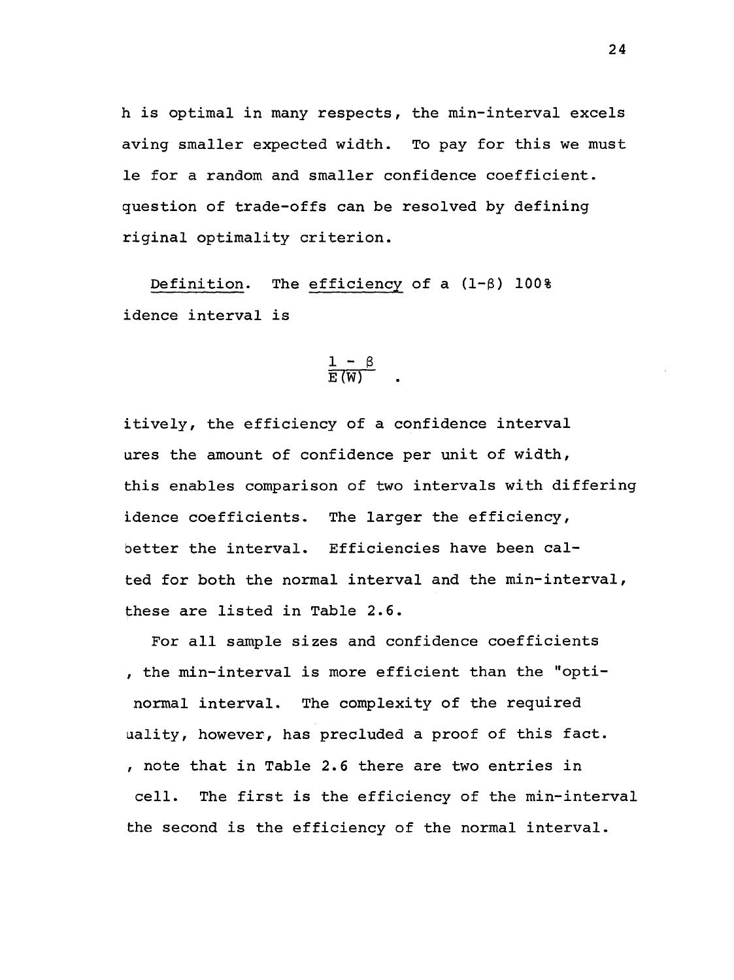his optimal in many respects, the min-interval excels aving smaller expected width. To pay for this we must le for a random and smaller confidence coefficient. question of trade-offs can be resolved by defining riginal optimality criterion.

Definition. The efficiency of a  $(1-\beta)$  100% idence interval is

$$
\frac{1-\beta}{E(W)}
$$

itively, the efficiency of a confidence interval ures the amount of confidence per unit of width, this enables comparison of two intervals with differing idence coefficients. The larger the efficiency, better the interval. Efficiencies have been calted for both the normal interval and the min-interval, these are listed in Table 2.6.

For all sample sizes and confidence coefficients , the min-interval is more efficient than the "optinormal interval. The complexity of the required uality, however, has precluded a proof of this fact. , note that in Table 2.6 there are two entries in cell. The first is the efficiency of the min-interval the second is the efficiency of the normal interval.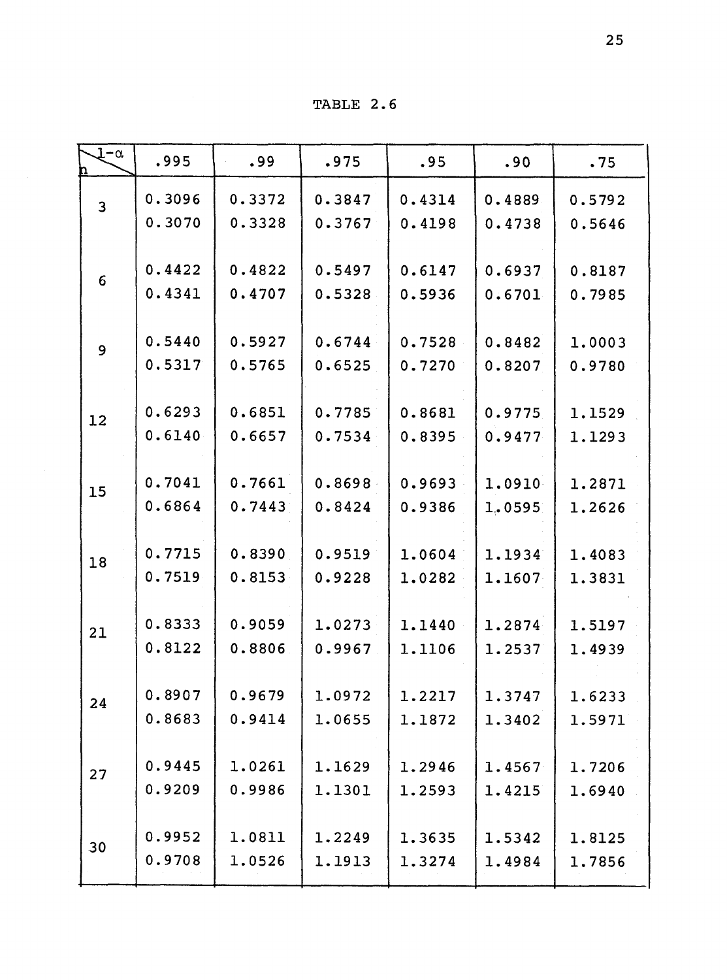TABLE 2.6

| $1-\alpha$              | .995             | .99              | .975             | .95              | .90              | .75              |
|-------------------------|------------------|------------------|------------------|------------------|------------------|------------------|
| $\overline{\mathbf{3}}$ | 0.3096           | 0.3372           | 0.3847           | 0.4314           | 0.4889           | 0.5792           |
|                         | 0.3070           | 0.3328           | 0.3767           | 0.4198           | 0.4738           | 0.5646           |
|                         | 0.4422           | 0.4822           | 0.5497           | 0.6147           | 0.6937           | 0.8187           |
| 6                       | 0.4341           | 0.4707           | 0.5328           | 0.5936           | 0.6701           | 0.7985           |
|                         | 0.5440           | 0.5927           | 0.6744           | 0.7528           | 0.8482           | 1.0003           |
| $\overline{9}$          | 0.5317           | 0.5765           | 0.6525           | 0.7270           | 0.8207           | 0.9780           |
|                         |                  |                  |                  |                  |                  |                  |
| 12                      | 0.6293<br>0.6140 | 0.6851<br>0.6657 | 0.7785<br>0.7534 | 0.8681<br>0.8395 | 0.9775<br>0.9477 | 1.1529<br>1.1293 |
|                         |                  |                  |                  |                  |                  |                  |
| 15                      | 0.7041<br>0.6864 | 0.7661<br>0.7443 | 0.8698<br>0.8424 | 0.9693<br>0.9386 | 1.0910<br>1.0595 | 1.2871<br>1.2626 |
|                         |                  |                  |                  |                  |                  |                  |
| 18                      | 0.7715           | 0.8390           | 0.9519           | 1.0604           | 1.1934           | 1.4083           |
|                         | 0.7519           | 0.8153           | 0.9228           | 1.0282           | 1.1607           | 1.3831           |
| 21                      | 0.8333           | 0.9059           | 1.0273           | 1.1440           | 1.2874           | 1.5197           |
|                         | 0.8122           | 0.8806           | 0.9967           | 1.1106           | 1.2537           | 1.4939           |
| 24                      | 0.8907           | 0.9679           | 1.0972           | 1.2217           | 1.3747           | 1.6233           |
|                         | 0.8683           | 0.9414           | 1.0655           | 1.1872           | 1.3402           | 1.5971           |
|                         | 0.9445           | 1.0261           | 1.1629           | 1.2946           | 1.4567           | 1.7206           |
| 27                      | 0.9209           | 0.9986           | 1.1301           | 1.2593           | 1.4215           | 1.6940           |
|                         | 0.9952           | 1.0811           | 1.2249           | 1.3635           | 1.5342           | 1.8125           |
| 30                      | 0.9708           | 1.0526           | 1.1913           | 1.3274           | 1.4984           | 1.7856           |
|                         |                  |                  |                  |                  |                  |                  |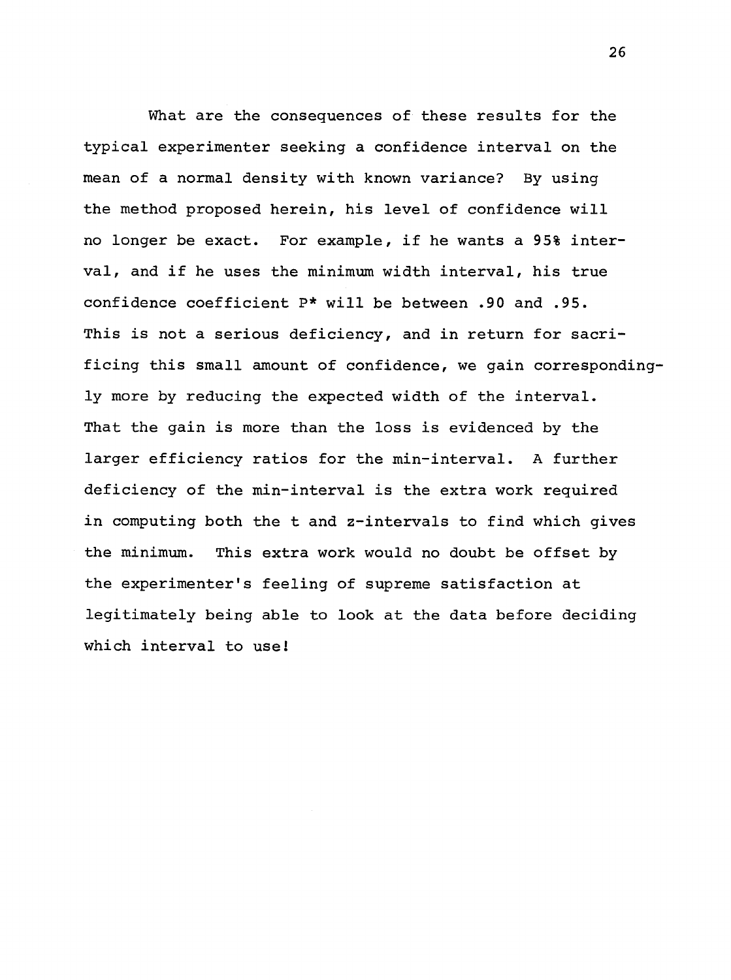What are the consequences of these results for the typical experimenter seeking a confidence interval on the mean of a normal density with known variance? By using the method proposed herein, his level of confidence will no longer be exact. For example, if he wants a 95% interval, and if he uses the minimum width interval, his true confidence coefficient P\* will be between .90 and .95. This is not a serious deficiency, and in return for sacrificing this small amount of confidence, we gain correspondingly more by reducing the expected width of the interval. That the gain is more than the loss is evidenced by the larger efficiency ratios for the min-interval. A further deficiency of the min-interval is the extra work required *in* computing both the t and z-intervals to find which gives the minimum. This extra work would no doubt be offset by the experimenter's feeling of supreme satisfaction at legitimately being able to look at the data before deciding which interval to use!